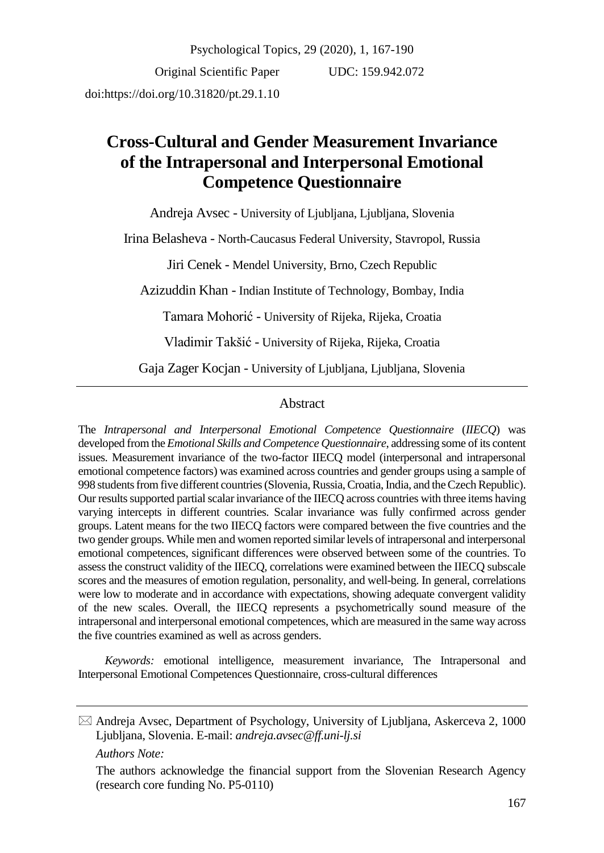Psychological Topics, 29 (2020), 1, 167-190

Original Scientific Paper doi:https://doi.org/10.31820/pt.29.1.10

UDC: 159.942.072

# **Cross-Cultural and Gender Measurement Invariance of the Intrapersonal and Interpersonal Emotional Competence Questionnaire**

Andreja Avsec - University of Ljubljana, Ljubljana, Slovenia

Irina Belasheva - North-Caucasus Federal University, Stavropol, Russia

Jiri Cenek - Mendel University, Brno, Czech Republic

Azizuddin Khan - Indian Institute of Technology, Bombay, India

Tamara Mohorić - University of Rijeka, Rijeka, Croatia

Vladimir Takšić - University of Rijeka, Rijeka, Croatia

Gaja Zager Kocjan - University of Ljubljana, Ljubljana, Slovenia

## Abstract

The *Intrapersonal and Interpersonal Emotional Competence Questionnaire* (*IIECQ*) was developed from the *Emotional Skills and Competence Questionnaire*, addressing some of its content issues. Measurement invariance of the two-factor IIECQ model (interpersonal and intrapersonal emotional competence factors) was examined across countries and gender groups using a sample of 998 students from five different countries (Slovenia, Russia, Croatia, India, and theCzech Republic). Our results supported partial scalar invariance of the IIECQ across countries with three items having varying intercepts in different countries. Scalar invariance was fully confirmed across gender groups. Latent means for the two IIECQ factors were compared between the five countries and the two gender groups. While men and women reported similar levels of intrapersonal and interpersonal emotional competences, significant differences were observed between some of the countries. To assess the construct validity of the IIECQ, correlations were examined between the IIECQ subscale scores and the measures of emotion regulation, personality, and well-being. In general, correlations were low to moderate and in accordance with expectations, showing adequate convergent validity of the new scales. Overall, the IIECQ represents a psychometrically sound measure of the intrapersonal and interpersonal emotional competences, which are measured in the same way across the five countries examined as well as across genders.

*Keywords:* emotional intelligence, measurement invariance, The Intrapersonal and Interpersonal Emotional Competences Questionnaire, cross-cultural differences

*Authors Note:*

 $\boxtimes$  Andreja Avsec, Department of Psychology, University of Ljubljana, Askerceva 2, 1000 Ljubljana, Slovenia. E-mail: *andreja.avsec@ff.uni-lj.si*

The authors acknowledge the financial support from the Slovenian Research Agency (research core funding No. P5-0110)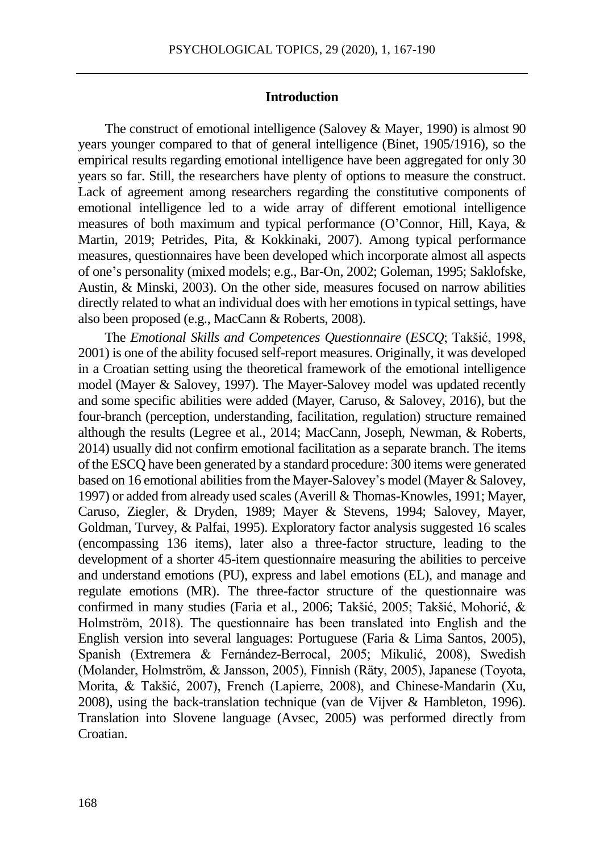#### **Introduction**

The construct of emotional intelligence (Salovey & Mayer, 1990) is almost 90 years younger compared to that of general intelligence (Binet, 1905/1916), so the empirical results regarding emotional intelligence have been aggregated for only 30 years so far. Still, the researchers have plenty of options to measure the construct. Lack of agreement among researchers regarding the constitutive components of emotional intelligence led to a wide array of different emotional intelligence measures of both maximum and typical performance (O'Connor, Hill, Kaya, & Martin, 2019; Petrides, Pita, & Kokkinaki, 2007). Among typical performance measures, questionnaires have been developed which incorporate almost all aspects of one's personality (mixed models; e.g., Bar-On, 2002; Goleman, 1995; Saklofske, Austin, & Minski, 2003). On the other side, measures focused on narrow abilities directly related to what an individual does with her emotions in typical settings, have also been proposed (e.g., MacCann & Roberts, 2008).

The *Emotional Skills and Competences Questionnaire* (*ESCQ*; Takšić, 1998, 2001) is one of the ability focused self-report measures. Originally, it was developed in a Croatian setting using the theoretical framework of the emotional intelligence model (Mayer & Salovey, 1997). The Mayer-Salovey model was updated recently and some specific abilities were added (Mayer, Caruso, & Salovey, 2016), but the four-branch (perception, understanding, facilitation, regulation) structure remained although the results (Legree et al., 2014; MacCann, Joseph, Newman, & Roberts, 2014) usually did not confirm emotional facilitation as a separate branch. The items of the ESCQ have been generated by a standard procedure: 300 items were generated based on 16 emotional abilities from the Mayer-Salovey's model (Mayer & Salovey, 1997) or added from already used scales (Averill & Thomas-Knowles, 1991; Mayer, Caruso, Ziegler, & Dryden, 1989; Mayer & Stevens, 1994; Salovey, Mayer, Goldman, Turvey, & Palfai, 1995). Exploratory factor analysis suggested 16 scales (encompassing 136 items), later also a three-factor structure, leading to the development of a shorter 45-item questionnaire measuring the abilities to perceive and understand emotions (PU), express and label emotions (EL), and manage and regulate emotions (MR). The three-factor structure of the questionnaire was confirmed in many studies (Faria et al., 2006; Takšić, 2005; Takšić, Mohorić, & Holmström, 2018). The questionnaire has been translated into English and the English version into several languages: Portuguese (Faria & Lima Santos, 2005), Spanish (Extremera & Fernández-Berrocal, 2005; Mikulić, 2008), Swedish (Molander, Holmström, & Jansson, 2005), Finnish (Räty, 2005), Japanese (Toyota, Morita, & Takšić, 2007), French (Lapierre, 2008), and Chinese-Mandarin (Xu, 2008), using the back-translation technique (van de Vijver & Hambleton, 1996). Translation into Slovene language (Avsec, 2005) was performed directly from Croatian.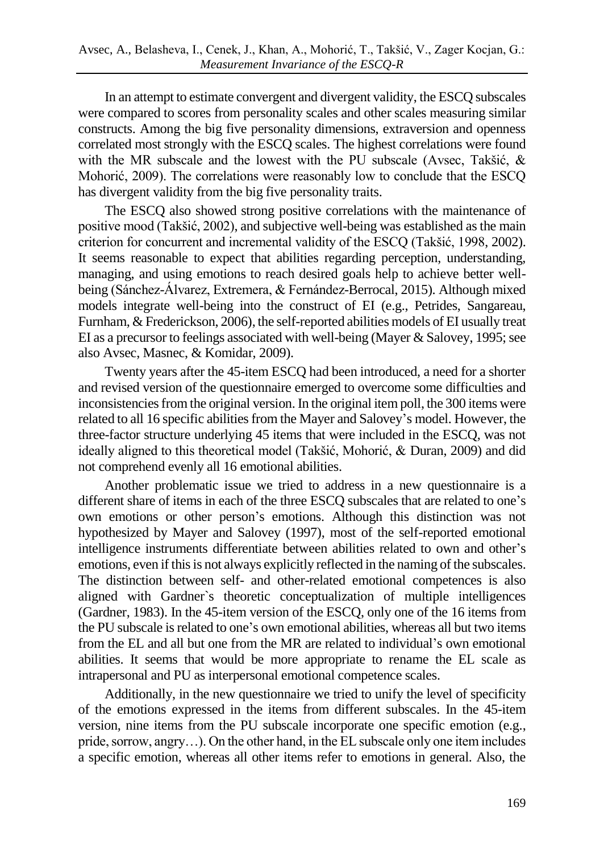In an attempt to estimate convergent and divergent validity, the ESCQ subscales were compared to scores from personality scales and other scales measuring similar constructs. Among the big five personality dimensions, extraversion and openness correlated most strongly with the ESCQ scales. The highest correlations were found with the MR subscale and the lowest with the PU subscale (Avsec, Takšić, & Mohorić, 2009). The correlations were reasonably low to conclude that the ESCQ has divergent validity from the big five personality traits.

The ESCQ also showed strong positive correlations with the maintenance of positive mood (Takšić, 2002), and subjective well-being was established as the main criterion for concurrent and incremental validity of the ESCQ (Takšić, 1998, 2002). It seems reasonable to expect that abilities regarding perception, understanding, managing, and using emotions to reach desired goals help to achieve better wellbeing (Sánchez-Álvarez, Extremera, & Fernández-Berrocal, 2015). Although mixed models integrate well-being into the construct of EI (e.g., Petrides, Sangareau, Furnham, & Frederickson, 2006), the self-reported abilities models of EI usually treat EI as a precursor to feelings associated with well-being (Mayer & Salovey, 1995; see also Avsec, Masnec, & Komidar, 2009).

Twenty years after the 45-item ESCQ had been introduced, a need for a shorter and revised version of the questionnaire emerged to overcome some difficulties and inconsistencies from the original version. In the original item poll, the 300 items were related to all 16 specific abilities from the Mayer and Salovey's model. However, the three-factor structure underlying 45 items that were included in the ESCQ, was not ideally aligned to this theoretical model (Takšić, Mohorić, & Duran, 2009) and did not comprehend evenly all 16 emotional abilities.

Another problematic issue we tried to address in a new questionnaire is a different share of items in each of the three ESCQ subscales that are related to one's own emotions or other person's emotions. Although this distinction was not hypothesized by Mayer and Salovey (1997), most of the self-reported emotional intelligence instruments differentiate between abilities related to own and other's emotions, even if this is not always explicitly reflected in the naming of the subscales. The distinction between self- and other-related emotional competences is also aligned with Gardner`s theoretic conceptualization of multiple intelligences (Gardner, 1983). In the 45-item version of the ESCQ, only one of the 16 items from the PU subscale is related to one's own emotional abilities, whereas all but two items from the EL and all but one from the MR are related to individual's own emotional abilities. It seems that would be more appropriate to rename the EL scale as intrapersonal and PU as interpersonal emotional competence scales.

Additionally, in the new questionnaire we tried to unify the level of specificity of the emotions expressed in the items from different subscales. In the 45-item version, nine items from the PU subscale incorporate one specific emotion (e.g., pride, sorrow, angry…). On the other hand, in the EL subscale only one item includes a specific emotion, whereas all other items refer to emotions in general. Also, the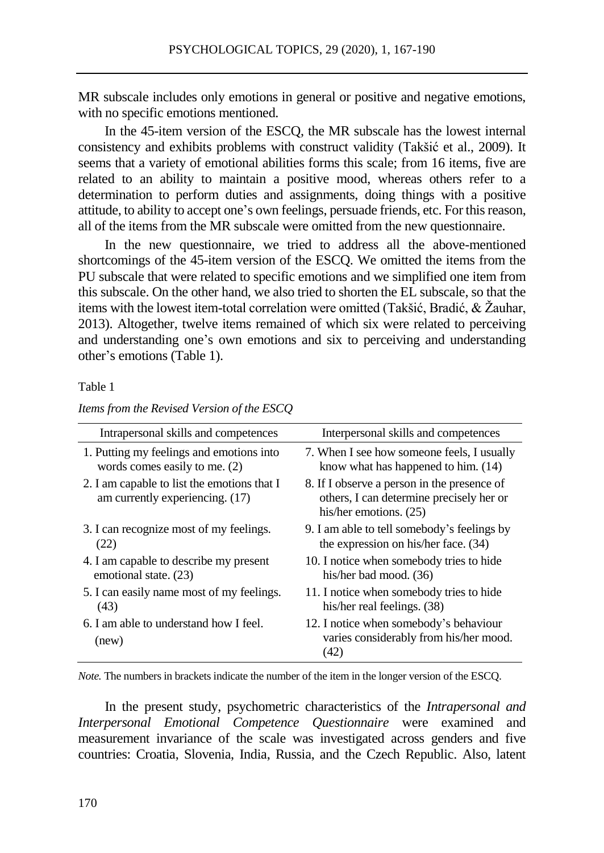MR subscale includes only emotions in general or positive and negative emotions, with no specific emotions mentioned.

In the 45-item version of the ESCQ, the MR subscale has the lowest internal consistency and exhibits problems with construct validity (Takšić et al., 2009). It seems that a variety of emotional abilities forms this scale; from 16 items, five are related to an ability to maintain a positive mood, whereas others refer to a determination to perform duties and assignments, doing things with a positive attitude, to ability to accept one's own feelings, persuade friends, etc. For this reason, all of the items from the MR subscale were omitted from the new questionnaire.

In the new questionnaire, we tried to address all the above-mentioned shortcomings of the 45-item version of the ESCQ. We omitted the items from the PU subscale that were related to specific emotions and we simplified one item from this subscale. On the other hand, we also tried to shorten the EL subscale, so that the items with the lowest item-total correlation were omitted (Takšić, Bradić, & Žauhar, 2013). Altogether, twelve items remained of which six were related to perceiving and understanding one's own emotions and six to perceiving and understanding other's emotions (Table 1).

Table 1

| Intrapersonal skills and competences                                           | Interpersonal skills and competences                                                                              |
|--------------------------------------------------------------------------------|-------------------------------------------------------------------------------------------------------------------|
| 1. Putting my feelings and emotions into                                       | 7. When I see how someone feels, I usually                                                                        |
| words comes easily to me. (2)                                                  | know what has happened to him. (14)                                                                               |
| 2. I am capable to list the emotions that I<br>am currently experiencing. (17) | 8. If I observe a person in the presence of<br>others, I can determine precisely her or<br>his/her emotions. (25) |
| 3. I can recognize most of my feelings.                                        | 9. I am able to tell somebody's feelings by                                                                       |
| (22)                                                                           | the expression on his/her face. (34)                                                                              |
| 4. I am capable to describe my present                                         | 10. I notice when somebody tries to hide                                                                          |
| emotional state. (23)                                                          | his/her bad mood. (36)                                                                                            |
| 5. I can easily name most of my feelings.                                      | 11. I notice when somebody tries to hide                                                                          |
| (43)                                                                           | his/her real feelings. (38)                                                                                       |
| 6. I am able to understand how I feel.<br>(new)                                | 12. I notice when somebody's behaviour<br>varies considerably from his/her mood.<br>(42)                          |

*Items from the Revised Version of the ESCQ* 

*Note.* The numbers in brackets indicate the number of the item in the longer version of the ESCQ.

In the present study, psychometric characteristics of the *Intrapersonal and Interpersonal Emotional Competence Questionnaire* were examined and measurement invariance of the scale was investigated across genders and five countries: Croatia, Slovenia, India, Russia, and the Czech Republic. Also, latent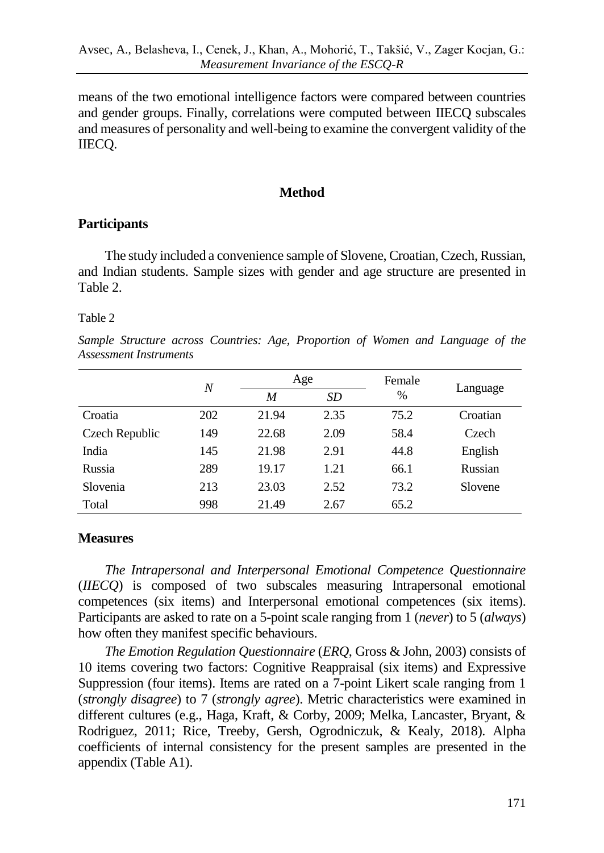means of the two emotional intelligence factors were compared between countries and gender groups. Finally, correlations were computed between IIECQ subscales and measures of personality and well-being to examine the convergent validity of the IIECQ.

#### **Method**

## **Participants**

The study included a convenience sample of Slovene, Croatian, Czech, Russian, and Indian students. Sample sizes with gender and age structure are presented in Table 2.

#### Table 2

*Sample Structure across Countries: Age, Proportion of Women and Language of the Assessment Instruments*

|                | N   | Age   |      | Female |          |
|----------------|-----|-------|------|--------|----------|
|                |     | M     | SD   | $\%$   | Language |
| Croatia        | 202 | 21.94 | 2.35 | 75.2   | Croatian |
| Czech Republic | 149 | 22.68 | 2.09 | 58.4   | Czech    |
| India          | 145 | 21.98 | 2.91 | 44.8   | English  |
| Russia         | 289 | 19.17 | 1.21 | 66.1   | Russian  |
| Slovenia       | 213 | 23.03 | 2.52 | 73.2   | Slovene  |
| Total          | 998 | 21.49 | 2.67 | 65.2   |          |

## **Measures**

*The Intrapersonal and Interpersonal Emotional Competence Questionnaire* (*IIECQ*) is composed of two subscales measuring Intrapersonal emotional competences (six items) and Interpersonal emotional competences (six items). Participants are asked to rate on a 5-point scale ranging from 1 (*never*) to 5 (*always*) how often they manifest specific behaviours.

*The Emotion Regulation Questionnaire* (*ERQ*, Gross & John, 2003) consists of 10 items covering two factors: Cognitive Reappraisal (six items) and Expressive Suppression (four items). Items are rated on a 7-point Likert scale ranging from 1 (*strongly disagree*) to 7 (*strongly agree*). Metric characteristics were examined in different cultures (e.g., Haga, Kraft, & Corby, 2009; Melka, Lancaster, Bryant, & Rodriguez, 2011; Rice, Treeby, Gersh, Ogrodniczuk, & Kealy, 2018). Alpha coefficients of internal consistency for the present samples are presented in the appendix (Table A1).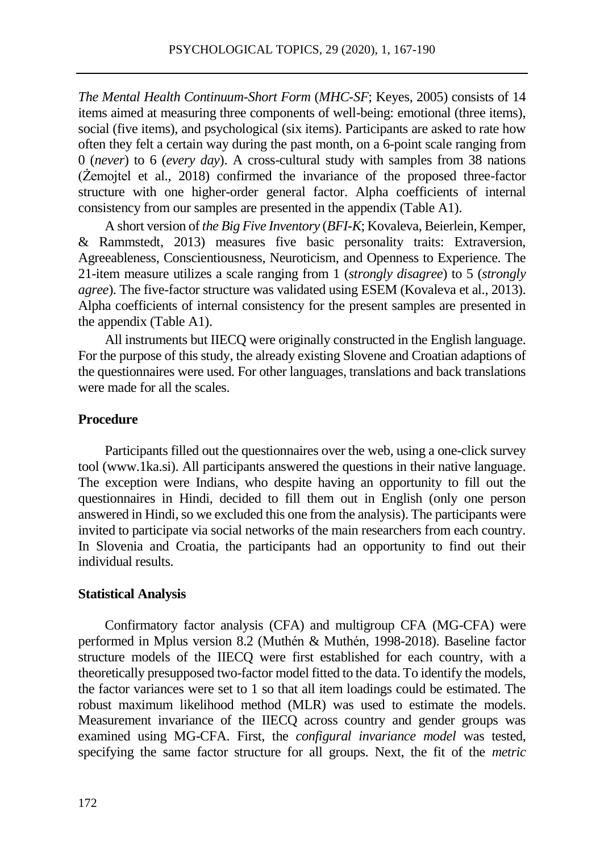*The Mental Health Continuum-Short Form* (*MHC-SF*; Keyes, 2005) consists of 14 items aimed at measuring three components of well-being: emotional (three items), social (five items), and psychological (six items). Participants are asked to rate how often they felt a certain way during the past month, on a 6-point scale ranging from 0 (*never*) to 6 (*every day*). A cross-cultural study with samples from 38 nations (Żemojtel et al., 2018) confirmed the invariance of the proposed three-factor structure with one higher-order general factor. Alpha coefficients of internal consistency from our samples are presented in the appendix (Table A1).

A short version of *the Big Five Inventory* (*BFI-K*; Kovaleva, Beierlein, Kemper, & Rammstedt, 2013) measures five basic personality traits: Extraversion, Agreeableness, Conscientiousness, Neuroticism, and Openness to Experience. The 21-item measure utilizes a scale ranging from 1 (*strongly disagree*) to 5 (*strongly agree*). The five-factor structure was validated using ESEM (Kovaleva et al., 2013). Alpha coefficients of internal consistency for the present samples are presented in the appendix (Table A1).

All instruments but IIECQ were originally constructed in the English language. For the purpose of this study, the already existing Slovene and Croatian adaptions of the questionnaires were used. For other languages, translations and back translations were made for all the scales.

#### **Procedure**

Participants filled out the questionnaires over the web, using a one-click survey tool (www.1ka.si). All participants answered the questions in their native language. The exception were Indians, who despite having an opportunity to fill out the questionnaires in Hindi, decided to fill them out in English (only one person answered in Hindi, so we excluded this one from the analysis). The participants were invited to participate via social networks of the main researchers from each country. In Slovenia and Croatia, the participants had an opportunity to find out their individual results.

#### **Statistical Analysis**

Confirmatory factor analysis (CFA) and multigroup CFA (MG-CFA) were performed in Mplus version 8.2 (Muthén & Muthén, 1998-2018). Baseline factor structure models of the IIECQ were first established for each country, with a theoretically presupposed two-factor model fitted to the data. To identify the models, the factor variances were set to 1 so that all item loadings could be estimated. The robust maximum likelihood method (MLR) was used to estimate the models. Measurement invariance of the IIECQ across country and gender groups was examined using MG-CFA. First, the *configural invariance model* was tested, specifying the same factor structure for all groups. Next, the fit of the *metric*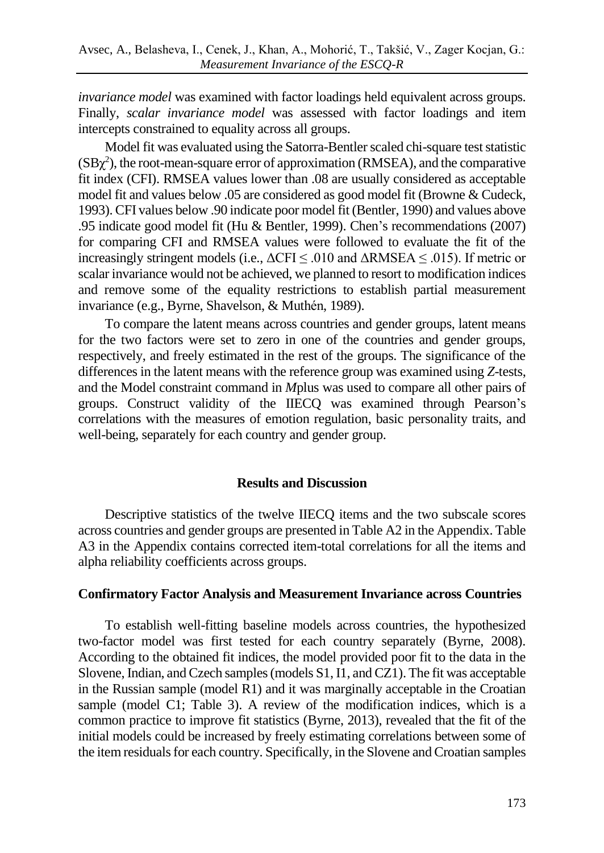*invariance model* was examined with factor loadings held equivalent across groups. Finally, *scalar invariance model* was assessed with factor loadings and item intercepts constrained to equality across all groups.

Model fit was evaluated using the Satorra-Bentler scaled chi-square test statistic  $(SB\chi^2)$ , the root-mean-square error of approximation (RMSEA), and the comparative fit index (CFI). RMSEA values lower than .08 are usually considered as acceptable model fit and values below .05 are considered as good model fit (Browne & Cudeck, 1993). CFI values below .90 indicate poor model fit (Bentler, 1990) and values above .95 indicate good model fit (Hu & Bentler, 1999). Chen's recommendations (2007) for comparing CFI and RMSEA values were followed to evaluate the fit of the increasingly stringent models (i.e.,  $\Delta$ CFI  $\leq$  .010 and  $\Delta$ RMSEA  $\leq$  .015). If metric or scalar invariance would not be achieved, we planned to resort to modification indices and remove some of the equality restrictions to establish partial measurement invariance (e.g., Byrne, Shavelson, & Muthén, 1989).

To compare the latent means across countries and gender groups, latent means for the two factors were set to zero in one of the countries and gender groups, respectively, and freely estimated in the rest of the groups. The significance of the differences in the latent means with the reference group was examined using *Z*-tests, and the Model constraint command in *M*plus was used to compare all other pairs of groups. Construct validity of the IIECQ was examined through Pearson's correlations with the measures of emotion regulation, basic personality traits, and well-being, separately for each country and gender group.

#### **Results and Discussion**

Descriptive statistics of the twelve IIECQ items and the two subscale scores across countries and gender groups are presented in Table A2 in the Appendix. Table A3 in the Appendix contains corrected item-total correlations for all the items and alpha reliability coefficients across groups.

## **Confirmatory Factor Analysis and Measurement Invariance across Countries**

To establish well-fitting baseline models across countries, the hypothesized two-factor model was first tested for each country separately (Byrne, 2008). According to the obtained fit indices, the model provided poor fit to the data in the Slovene, Indian, and Czech samples (models S1, I1, and CZ1). The fit was acceptable in the Russian sample (model R1) and it was marginally acceptable in the Croatian sample (model C1; Table 3). A review of the modification indices, which is a common practice to improve fit statistics (Byrne, 2013), revealed that the fit of the initial models could be increased by freely estimating correlations between some of the item residuals for each country. Specifically, in the Slovene and Croatian samples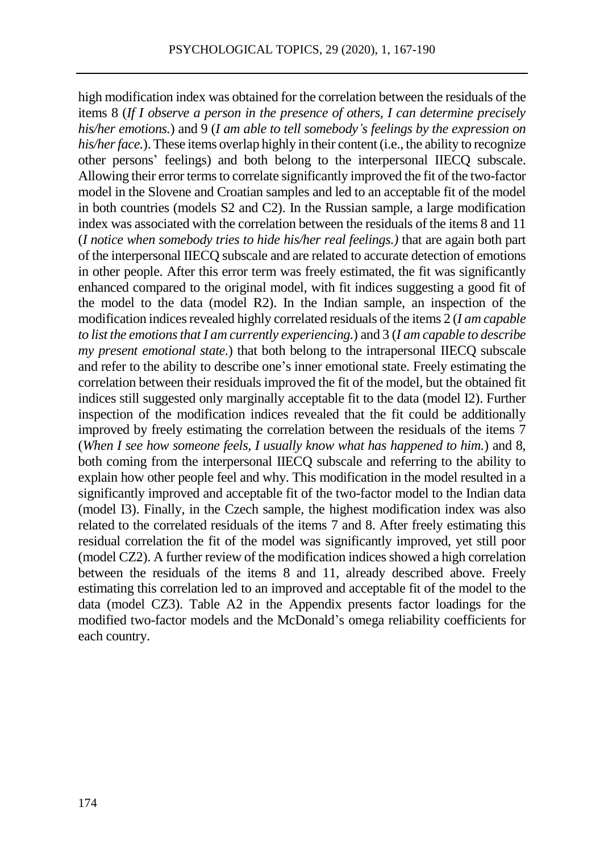high modification index was obtained for the correlation between the residuals of the items 8 (*If I observe a person in the presence of others, I can determine precisely his/her emotions.*) and 9 (*I am able to tell somebody's feelings by the expression on his/her face.*). These items overlap highly in their content (i.e., the ability to recognize other persons' feelings) and both belong to the interpersonal IIECQ subscale. Allowing their error terms to correlate significantly improved the fit of the two-factor model in the Slovene and Croatian samples and led to an acceptable fit of the model in both countries (models S2 and C2). In the Russian sample, a large modification index was associated with the correlation between the residuals of the items 8 and 11 (*I notice when somebody tries to hide his/her real feelings.)* that are again both part of the interpersonal IIECQ subscale and are related to accurate detection of emotions in other people. After this error term was freely estimated, the fit was significantly enhanced compared to the original model, with fit indices suggesting a good fit of the model to the data (model R2). In the Indian sample, an inspection of the modification indices revealed highly correlated residuals of the items 2 (*I am capable to list the emotions that I am currently experiencing.*) and 3 (*I am capable to describe my present emotional state.*) that both belong to the intrapersonal IIECQ subscale and refer to the ability to describe one's inner emotional state. Freely estimating the correlation between their residuals improved the fit of the model, but the obtained fit indices still suggested only marginally acceptable fit to the data (model I2). Further inspection of the modification indices revealed that the fit could be additionally improved by freely estimating the correlation between the residuals of the items 7 (*When I see how someone feels, I usually know what has happened to him.*) and 8, both coming from the interpersonal IIECQ subscale and referring to the ability to explain how other people feel and why. This modification in the model resulted in a significantly improved and acceptable fit of the two-factor model to the Indian data (model I3). Finally, in the Czech sample, the highest modification index was also related to the correlated residuals of the items 7 and 8. After freely estimating this residual correlation the fit of the model was significantly improved, yet still poor (model CZ2). A further review of the modification indices showed a high correlation between the residuals of the items 8 and 11, already described above. Freely estimating this correlation led to an improved and acceptable fit of the model to the data (model CZ3). Table A2 in the Appendix presents factor loadings for the modified two-factor models and the McDonald's omega reliability coefficients for each country.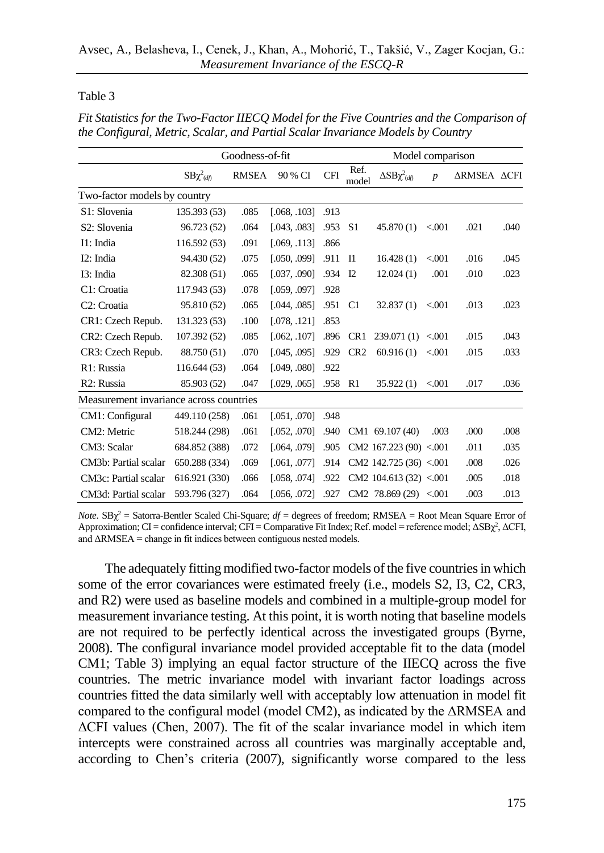#### Table 3

|                              |                                         | Goodness-of-fit |                |            |                 | Model comparison          |                  |             |      |  |
|------------------------------|-----------------------------------------|-----------------|----------------|------------|-----------------|---------------------------|------------------|-------------|------|--|
|                              | $SB\chi^2_{(df)}$                       | <b>RMSEA</b>    | 90 % CI        | <b>CFI</b> | Ref.<br>model   | $\Delta SB\chi^2_{(df)}$  | $\boldsymbol{p}$ | ΔRMSEA ΔCFI |      |  |
| Two-factor models by country |                                         |                 |                |            |                 |                           |                  |             |      |  |
| S1: Slovenia                 | 135.393 (53)                            | .085            | [.068, .103]   | .913       |                 |                           |                  |             |      |  |
| S <sub>2</sub> : Slovenia    | 96.723 (52)                             | .064            | [.043, .083]   | .953       | S <sub>1</sub>  | 45.870(1)                 | < 0.001          | .021        | .040 |  |
| I1: India                    | 116.592 (53)                            | .091            | [.069, .113]   | .866       |                 |                           |                  |             |      |  |
| I2: India                    | 94.430 (52)                             | .075            | [.050, .099]   | .911       | <b>I</b> 1      | 16.428(1)                 | < 0.001          | .016        | .045 |  |
| I3: India                    | 82.308 (51)                             | .065            | [.037, .090]   | .934       | 12              | 12.024(1)                 | .001             | .010        | .023 |  |
| C1: Croatia                  | 117.943 (53)                            | .078            | [.059, .097]   | .928       |                 |                           |                  |             |      |  |
| C <sub>2</sub> : Croatia     | 95.810 (52)                             | .065            | 1.0440851      | .951       | C <sub>1</sub>  | 32.837(1) < .001          |                  | .013        | .023 |  |
| CR1: Czech Repub.            | 131.323 (53)                            | .100            | [.078, .121]   | .853       |                 |                           |                  |             |      |  |
| CR2: Czech Repub.            | 107.392 (52)                            | .085            | [.062, .107]   | .896       | CR <sub>1</sub> | 239.071(1) < .001         |                  | .015        | .043 |  |
| CR3: Czech Repub.            | 88.750 (51)                             | .070            | 1.0450951      | .929       | CR <sub>2</sub> | 60.916(1)                 | < 0.001          | .015        | .033 |  |
| R1: Russia                   | 116.644 (53)                            | .064            | [.049, .080]   | .922       |                 |                           |                  |             |      |  |
| R <sub>2</sub> : Russia      | 85.903 (52)                             | .047            | 1.029. .0651   | .958       | R1              | 35.922(1)                 | < 0.001          | .017        | .036 |  |
|                              | Measurement invariance across countries |                 |                |            |                 |                           |                  |             |      |  |
| CM1: Configural              | 449.110 (258)                           | .061            | [0.051, 0.070] | .948       |                 |                           |                  |             |      |  |
| CM2: Metric                  | 518.244 (298)                           | .061            | [0.052, 0.070] | .940       |                 | CM1 69.107 (40)           | .003             | .000        | .008 |  |
| CM3: Scalar                  | 684.852 (388)                           | .072            | 1.064.0791     | .905       |                 | CM2 $167.223(90) < 0.001$ |                  | .011        | .035 |  |
| CM3b: Partial scalar         | 650.288 (334)                           | .069            | [.061, .077]   | .914       |                 | CM2 142.725 (36) <.001    |                  | .008        | .026 |  |
| CM3c: Partial scalar         | 616.921 (330)                           | .066            | $1.058$ , 0741 | .922       |                 | CM2 104.613 (32) <.001    |                  | .005        | .018 |  |
| CM3d: Partial scalar         | 593.796 (327)                           | .064            | 1.056, .0721   | .927       |                 | $CM2$ 78.869 (29) <.001   |                  | .003        | .013 |  |

*Fit Statistics for the Two-Factor IIECQ Model for the Five Countries and the Comparison of the Configural, Metric, Scalar, and Partial Scalar Invariance Models by Country*

*Note*.  $SB\chi^2 =$  Satorra-Bentler Scaled Chi-Square; *df* = degrees of freedom; RMSEA = Root Mean Square Error of Approximation; CI = confidence interval; CFI = Comparative Fit Index; Ref. model = reference model;  $\Delta SB\chi^2$ ,  $\Delta$ CFI, and  $\triangle$ RMSEA = change in fit indices between contiguous nested models.

The adequately fitting modified two-factor models of the five countries in which some of the error covariances were estimated freely (i.e., models S2, I3, C2, CR3, and R2) were used as baseline models and combined in a multiple-group model for measurement invariance testing. At this point, it is worth noting that baseline models are not required to be perfectly identical across the investigated groups (Byrne, 2008). The configural invariance model provided acceptable fit to the data (model CM1; Table 3) implying an equal factor structure of the IIECQ across the five countries. The metric invariance model with invariant factor loadings across countries fitted the data similarly well with acceptably low attenuation in model fit compared to the configural model (model CM2), as indicated by the ΔRMSEA and ΔCFI values (Chen, 2007). The fit of the scalar invariance model in which item intercepts were constrained across all countries was marginally acceptable and, according to Chen's criteria (2007), significantly worse compared to the less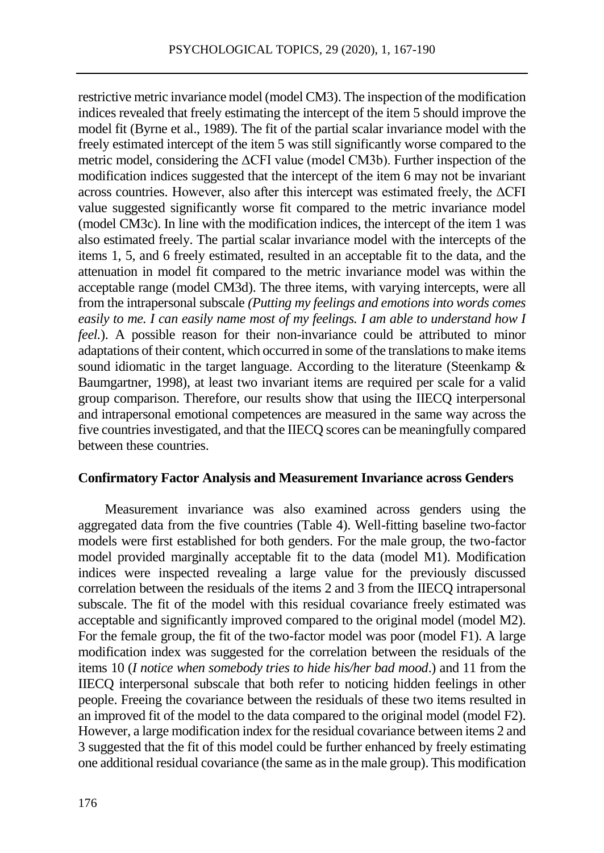restrictive metric invariance model (model CM3). The inspection of the modification indices revealed that freely estimating the intercept of the item 5 should improve the model fit (Byrne et al., 1989). The fit of the partial scalar invariance model with the freely estimated intercept of the item 5 was still significantly worse compared to the metric model, considering the ΔCFI value (model CM3b). Further inspection of the modification indices suggested that the intercept of the item 6 may not be invariant across countries. However, also after this intercept was estimated freely, the ΔCFI value suggested significantly worse fit compared to the metric invariance model (model CM3c). In line with the modification indices, the intercept of the item 1 was also estimated freely. The partial scalar invariance model with the intercepts of the items 1, 5, and 6 freely estimated, resulted in an acceptable fit to the data, and the attenuation in model fit compared to the metric invariance model was within the acceptable range (model CM3d). The three items, with varying intercepts, were all from the intrapersonal subscale *(Putting my feelings and emotions into words comes easily to me. I can easily name most of my feelings. I am able to understand how I feel.*). A possible reason for their non-invariance could be attributed to minor adaptations of their content, which occurred in some of the translationsto make items sound idiomatic in the target language. According to the literature (Steenkamp & Baumgartner, 1998), at least two invariant items are required per scale for a valid group comparison. Therefore, our results show that using the IIECQ interpersonal and intrapersonal emotional competences are measured in the same way across the five countries investigated, and that the IIECQ scores can be meaningfully compared between these countries.

## **Confirmatory Factor Analysis and Measurement Invariance across Genders**

Measurement invariance was also examined across genders using the aggregated data from the five countries (Table 4). Well-fitting baseline two-factor models were first established for both genders. For the male group, the two-factor model provided marginally acceptable fit to the data (model M1). Modification indices were inspected revealing a large value for the previously discussed correlation between the residuals of the items 2 and 3 from the IIECQ intrapersonal subscale. The fit of the model with this residual covariance freely estimated was acceptable and significantly improved compared to the original model (model M2). For the female group, the fit of the two-factor model was poor (model F1). A large modification index was suggested for the correlation between the residuals of the items 10 (*I notice when somebody tries to hide his/her bad mood*.) and 11 from the IIECQ interpersonal subscale that both refer to noticing hidden feelings in other people. Freeing the covariance between the residuals of these two items resulted in an improved fit of the model to the data compared to the original model (model F2). However, a large modification index for the residual covariance between items 2 and 3 suggested that the fit of this model could be further enhanced by freely estimating one additional residual covariance (the same as in the male group). This modification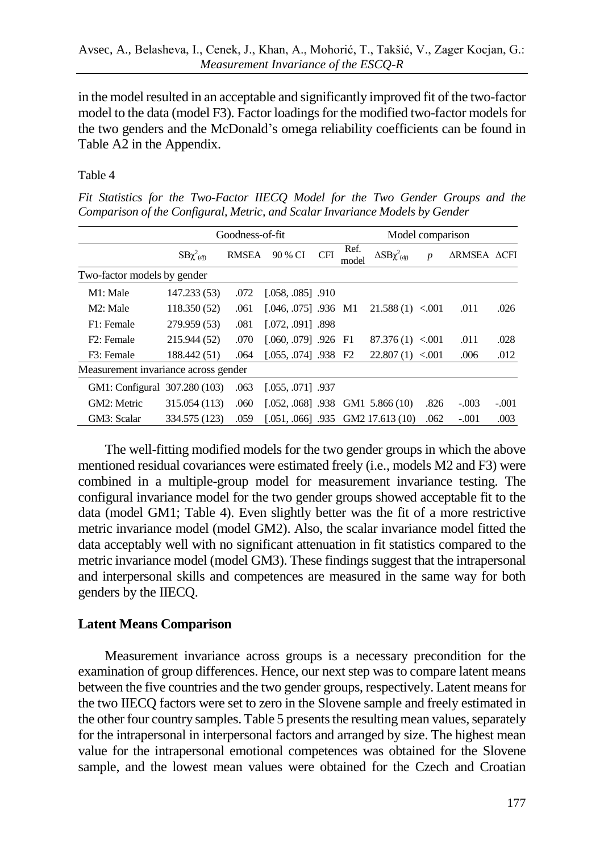in the model resulted in an acceptable and significantly improved fit of the two-factor model to the data (model F3). Factor loadings for the modified two-factor models for the two genders and the McDonald's omega reliability coefficients can be found in Table A2 in the Appendix.

Table 4

*Fit Statistics for the Two-Factor IIECQ Model for the Two Gender Groups and the Comparison of the Configural, Metric, and Scalar Invariance Models by Gender*

|                                      |                   | Goodness-of-fit |                                       |            |               |                          | Model comparison |             |         |
|--------------------------------------|-------------------|-----------------|---------------------------------------|------------|---------------|--------------------------|------------------|-------------|---------|
|                                      | $SB\chi^2_{(df)}$ | <b>RMSEA</b>    | 90 % CI                               | <b>CFI</b> | Ref.<br>model | $\Delta SB\chi^2_{(df)}$ | $\boldsymbol{p}$ | ΔRMSEA ΔCFI |         |
| Two-factor models by gender          |                   |                 |                                       |            |               |                          |                  |             |         |
| M1: Male                             | 147.233 (53)      | .072            | $[.058, .085]$ .910                   |            |               |                          |                  |             |         |
| M2: Male                             | 118.350 (52)      | .061            | $[.046, .075]$ .936 M1                |            |               | 21.588(1) < .001         |                  | .011        | .026    |
| F1: Female                           | 279.959 (53)      | .081            | $[.072, .091]$ .898                   |            |               |                          |                  |             |         |
| F <sub>2</sub> : Female              | 215.944 (52)      | .070            | $[.060, .079]$ .926 F1                |            |               | 87.376(1) < 0.001        |                  | .011        | .028    |
| F3: Female                           | 188.442 (51)      | .064            | $[0.055, 0.074]$ .938 F <sub>2</sub>  |            |               | 22.807(1)                | ${<}001$         | .006        | .012    |
| Measurement invariance across gender |                   |                 |                                       |            |               |                          |                  |             |         |
| GM1: Configural 307.280 (103)        |                   | .063            | $[.055, .071]$ .937                   |            |               |                          |                  |             |         |
| GM2: Metric                          | 315.054 (113)     | .060            | $[0.052, 0.068]$ .938 GM1 5.866 (10)  |            |               |                          | .826             | $-.003$     | $-.001$ |
| GM3: Scalar                          | 334.575 (123)     | .059            | $[0.051, 0.066]$ .935 GM2 17.613 (10) |            |               |                          | .062             | $-.001$     | .003    |

The well-fitting modified models for the two gender groups in which the above mentioned residual covariances were estimated freely (i.e., models M2 and F3) were combined in a multiple-group model for measurement invariance testing. The configural invariance model for the two gender groups showed acceptable fit to the data (model GM1; Table 4). Even slightly better was the fit of a more restrictive metric invariance model (model GM2). Also, the scalar invariance model fitted the data acceptably well with no significant attenuation in fit statistics compared to the metric invariance model (model GM3). These findings suggest that the intrapersonal and interpersonal skills and competences are measured in the same way for both genders by the IIECQ.

## **Latent Means Comparison**

Measurement invariance across groups is a necessary precondition for the examination of group differences. Hence, our next step was to compare latent means between the five countries and the two gender groups, respectively. Latent means for the two IIECQ factors were set to zero in the Slovene sample and freely estimated in the other four country samples. Table 5 presents the resulting mean values, separately for the intrapersonal in interpersonal factors and arranged by size. The highest mean value for the intrapersonal emotional competences was obtained for the Slovene sample, and the lowest mean values were obtained for the Czech and Croatian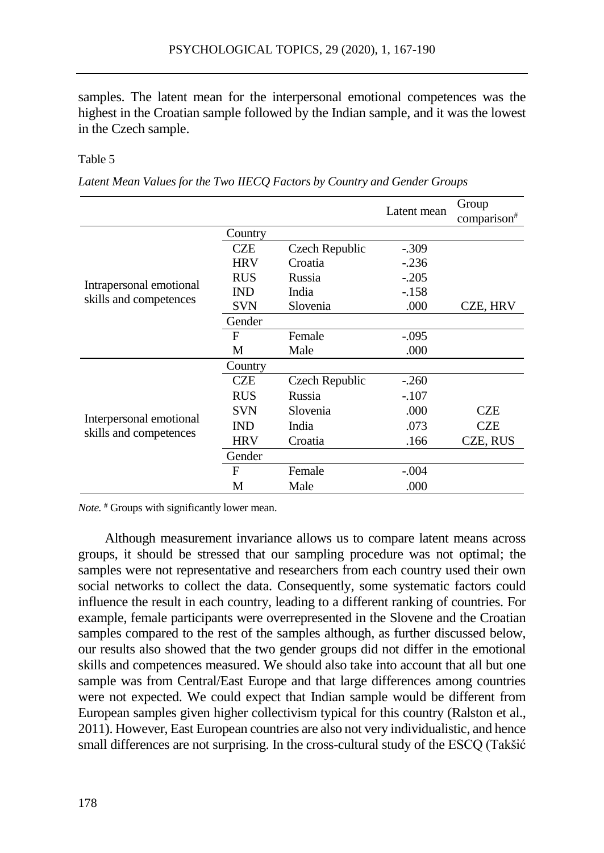samples. The latent mean for the interpersonal emotional competences was the highest in the Croatian sample followed by the Indian sample, and it was the lowest in the Czech sample.

#### Table 5

*Latent Mean Values for the Two IIECQ Factors by Country and Gender Groups*

|                         |            |                | Latent mean | Group          |
|-------------------------|------------|----------------|-------------|----------------|
|                         |            |                |             | $comparison^*$ |
|                         | Country    |                |             |                |
|                         | <b>CZE</b> | Czech Republic | $-.309$     |                |
|                         | <b>HRV</b> | Croatia        | $-.236$     |                |
|                         | <b>RUS</b> | Russia         | $-.205$     |                |
| Intrapersonal emotional | <b>IND</b> | India          | $-.158$     |                |
| skills and competences  | <b>SVN</b> | Slovenia       | .000        | CZE, HRV       |
|                         | Gender     |                |             |                |
|                         | F          | Female         | $-.095$     |                |
|                         | М          | Male           | .000        |                |
|                         | Country    |                |             |                |
|                         | <b>CZE</b> | Czech Republic | $-.260$     |                |
|                         | <b>RUS</b> | Russia         | $-.107$     |                |
|                         | <b>SVN</b> | Slovenia       | .000.       | <b>CZE</b>     |
| Interpersonal emotional | <b>IND</b> | India          | .073        | CZE            |
| skills and competences  | <b>HRV</b> | Croatia        | .166        | CZE, RUS       |
|                         | Gender     |                |             |                |
|                         | F          | Female         | $-.004$     |                |
|                         | М          | Male           | .000        |                |

*Note.* # Groups with significantly lower mean.

Although measurement invariance allows us to compare latent means across groups, it should be stressed that our sampling procedure was not optimal; the samples were not representative and researchers from each country used their own social networks to collect the data. Consequently, some systematic factors could influence the result in each country, leading to a different ranking of countries. For example, female participants were overrepresented in the Slovene and the Croatian samples compared to the rest of the samples although, as further discussed below, our results also showed that the two gender groups did not differ in the emotional skills and competences measured. We should also take into account that all but one sample was from Central/East Europe and that large differences among countries were not expected. We could expect that Indian sample would be different from European samples given higher collectivism typical for this country (Ralston et al., 2011). However, East European countries are also not very individualistic, and hence small differences are not surprising. In the cross-cultural study of the ESCQ (Takšić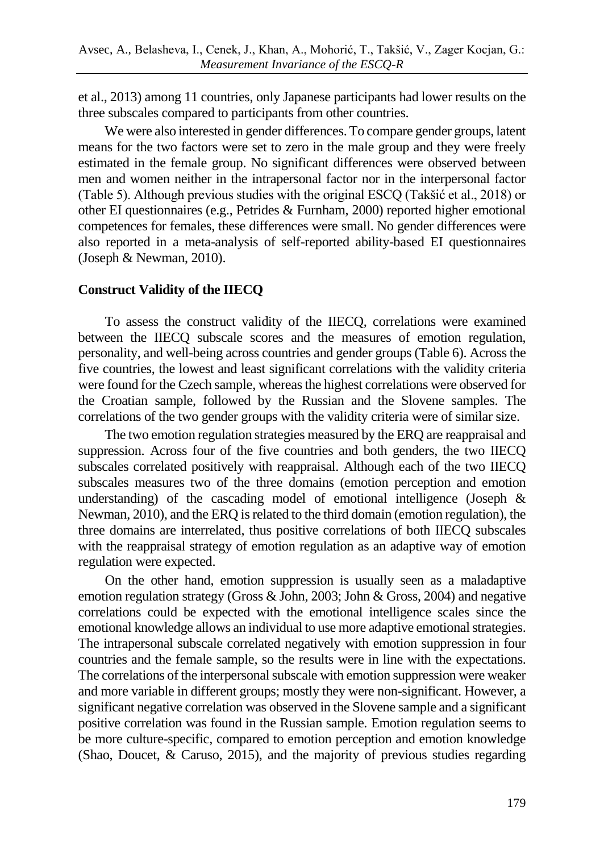et al., 2013) among 11 countries, only Japanese participants had lower results on the three subscales compared to participants from other countries.

We were also interested in gender differences. To compare gender groups, latent means for the two factors were set to zero in the male group and they were freely estimated in the female group. No significant differences were observed between men and women neither in the intrapersonal factor nor in the interpersonal factor (Table 5). Although previous studies with the original ESCQ (Takšić et al., 2018) or other EI questionnaires (e.g., Petrides & Furnham, 2000) reported higher emotional competences for females, these differences were small. No gender differences were also reported in a meta-analysis of self-reported ability-based EI questionnaires (Joseph & Newman, 2010).

## **Construct Validity of the IIECQ**

To assess the construct validity of the IIECQ, correlations were examined between the IIECQ subscale scores and the measures of emotion regulation, personality, and well-being across countries and gender groups (Table 6). Across the five countries, the lowest and least significant correlations with the validity criteria were found for the Czech sample, whereas the highest correlations were observed for the Croatian sample, followed by the Russian and the Slovene samples. The correlations of the two gender groups with the validity criteria were of similar size.

The two emotion regulation strategies measured by the ERQ are reappraisal and suppression. Across four of the five countries and both genders, the two IIECQ subscales correlated positively with reappraisal. Although each of the two IIECQ subscales measures two of the three domains (emotion perception and emotion understanding) of the cascading model of emotional intelligence (Joseph  $\&$ Newman, 2010), and the ERQ is related to the third domain (emotion regulation), the three domains are interrelated, thus positive correlations of both IIECQ subscales with the reappraisal strategy of emotion regulation as an adaptive way of emotion regulation were expected.

On the other hand, emotion suppression is usually seen as a maladaptive emotion regulation strategy (Gross & John, 2003; John & Gross, 2004) and negative correlations could be expected with the emotional intelligence scales since the emotional knowledge allows an individual to use more adaptive emotional strategies. The intrapersonal subscale correlated negatively with emotion suppression in four countries and the female sample, so the results were in line with the expectations. The correlations of the interpersonal subscale with emotion suppression were weaker and more variable in different groups; mostly they were non-significant. However, a significant negative correlation was observed in the Slovene sample and a significant positive correlation was found in the Russian sample. Emotion regulation seems to be more culture-specific, compared to emotion perception and emotion knowledge (Shao, Doucet, & Caruso, 2015), and the majority of previous studies regarding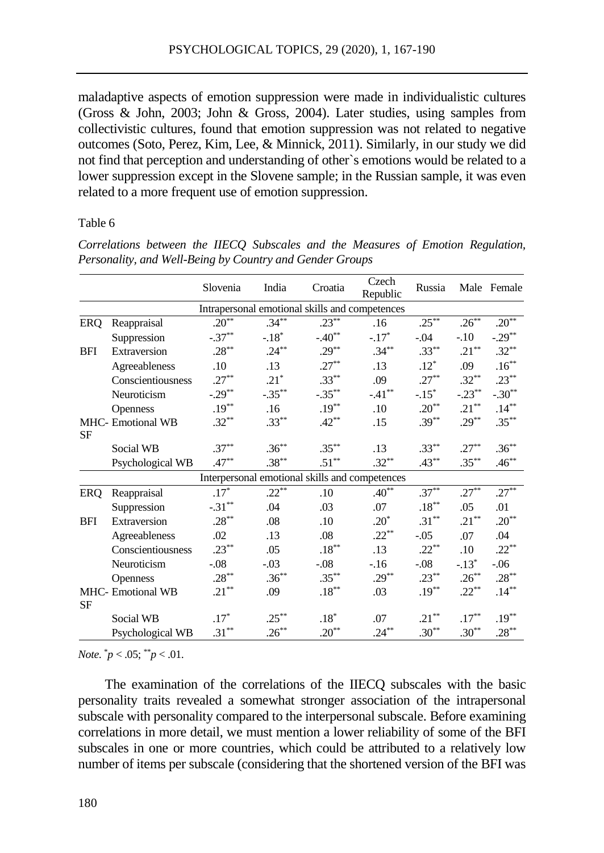maladaptive aspects of emotion suppression were made in individualistic cultures (Gross & John, 2003; John & Gross, 2004). Later studies, using samples from collectivistic cultures, found that emotion suppression was not related to negative outcomes (Soto, Perez, Kim, Lee, & Minnick, 2011). Similarly, in our study we did not find that perception and understanding of other`s emotions would be related to a lower suppression except in the Slovene sample; in the Russian sample, it was even related to a more frequent use of emotion suppression.

Table 6

|            |                          | Slovenia     | India            | Croatia                                        | Czech<br>Republic | Russia              |            | Male Female |
|------------|--------------------------|--------------|------------------|------------------------------------------------|-------------------|---------------------|------------|-------------|
|            |                          |              |                  | Intrapersonal emotional skills and competences |                   |                     |            |             |
| <b>ERQ</b> | Reappraisal              | $.20^{**}$   | $.34***$         | $.23***$                                       | .16               | $.25$ <sup>**</sup> | $.26^{**}$ | $.20^{**}$  |
|            | Suppression              | $-.37***$    | $-.18*$          | $-.40**$                                       | $-.17*$           | $-.04$              | $-.10$     | $-.29***$   |
| <b>BFI</b> | Extraversion             | $.28***$     | $.24***$         | $.29***$                                       | $.34***$          | $.33***$            | $.21***$   | $.32***$    |
|            | Agreeableness            | .10          | .13              | $.27***$                                       | .13               | $.12*$              | .09        | $.16***$    |
|            | Conscientiousness        | $.27***$     | $.21^{\ast}$     | $.33***$                                       | .09               | $.27***$            | $.32***$   | $.23***$    |
|            | Neuroticism              | $-.29***$    | $-.35***$        | $-.35***$                                      | $-.41***$         | $-.15*$             | $-.23**$   | $-.30**$    |
|            | <b>Openness</b>          | $.19***$     | .16              | $.19***$                                       | .10               | $.20***$            | $.21***$   | $.14***$    |
|            | <b>MHC-</b> Emotional WB | $.32***$     | $.33***$         | $.42***$                                       | .15               | $.39***$            | $.29***$   | $.35***$    |
| <b>SF</b>  |                          |              |                  |                                                |                   |                     |            |             |
|            | Social WB                | $.37***$     | $.36***$         | $.35***$                                       | .13               | $.33***$            | $.27***$   | $.36***$    |
|            | Psychological WB         | $.47***$     | $.38^{\ast\ast}$ | $.51***$                                       | $.32***$          | $.43***$            | $.35***$   | $.46***$    |
|            |                          |              |                  | Interpersonal emotional skills and competences |                   |                     |            |             |
| ERQ        | Reappraisal              | $.17^{\ast}$ | $.22^{**}$       | .10                                            | $.40**$           | $.37***$            | $.27***$   | $.27***$    |
|            | Suppression              | $-.31***$    | .04              | .03                                            | .07               | $.18***$            | .05        | .01         |
| <b>BFI</b> | Extraversion             | $.28***$     | .08              | .10                                            | $.20*$            | $.31***$            | $.21***$   | $.20***$    |
|            | Agreeableness            | .02          | .13              | .08                                            | $.22***$          | $-.05$              | .07        | .04         |
|            | Conscientiousness        | $.23***$     | .05              | $.18***$                                       | .13               | $.22***$            | .10        | $.22***$    |
|            | Neuroticism              | $-.08$       | $-.03$           | $-.08$                                         | $-16$             | $-.08$              | $-.13*$    | $-0.06$     |
|            | <b>Openness</b>          | $.28***$     | $.36***$         | $.35***$                                       | $.29***$          | $.23***$            | $.26***$   | $.28***$    |
|            | <b>MHC-</b> Emotional WB | $.21***$     | .09              | $.18***$                                       | .03               | $.19***$            | $.22***$   | $.14***$    |
| <b>SF</b>  |                          |              |                  |                                                |                   |                     |            |             |
|            | Social WB                | $.17*$       | $.25***$         | $.18*$                                         | .07               | $.21***$            | $.17***$   | $.19***$    |
|            | Psychological WB         | $.31***$     | $.26***$         | $.20***$                                       | $.24***$          | $.30***$            | $.30***$   | $.28***$    |

*Correlations between the IIECQ Subscales and the Measures of Emotion Regulation, Personality, and Well-Being by Country and Gender Groups*

*Note*.  $p < .05$ ;  $p < .01$ .

The examination of the correlations of the IIECQ subscales with the basic personality traits revealed a somewhat stronger association of the intrapersonal subscale with personality compared to the interpersonal subscale. Before examining correlations in more detail, we must mention a lower reliability of some of the BFI subscales in one or more countries, which could be attributed to a relatively low number of items per subscale (considering that the shortened version of the BFI was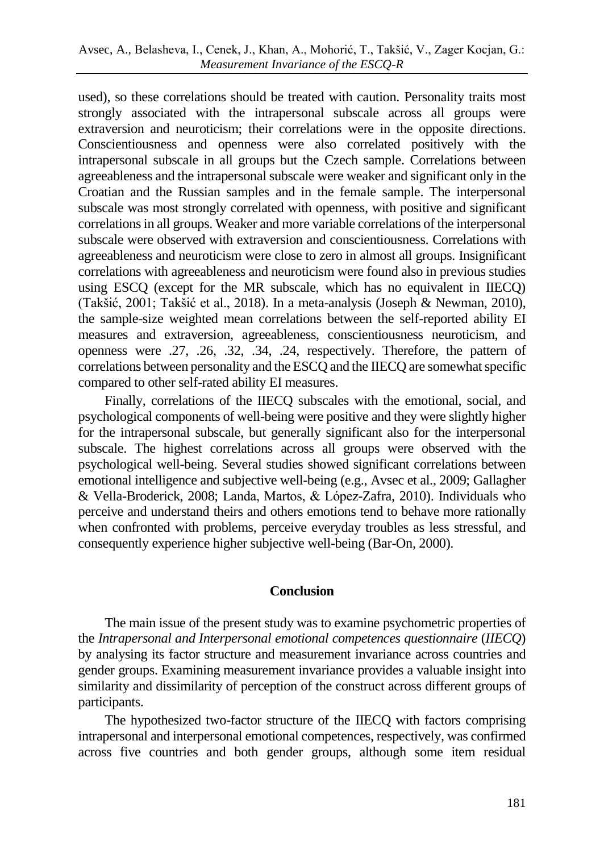used), so these correlations should be treated with caution. Personality traits most strongly associated with the intrapersonal subscale across all groups were extraversion and neuroticism; their correlations were in the opposite directions. Conscientiousness and openness were also correlated positively with the intrapersonal subscale in all groups but the Czech sample. Correlations between agreeableness and the intrapersonal subscale were weaker and significant only in the Croatian and the Russian samples and in the female sample. The interpersonal subscale was most strongly correlated with openness, with positive and significant correlations in all groups. Weaker and more variable correlations of the interpersonal subscale were observed with extraversion and conscientiousness. Correlations with agreeableness and neuroticism were close to zero in almost all groups. Insignificant correlations with agreeableness and neuroticism were found also in previous studies using ESCQ (except for the MR subscale, which has no equivalent in IIECQ) (Takšić, 2001; Takšić et al., 2018). In a meta-analysis (Joseph & Newman, 2010), the sample-size weighted mean correlations between the self-reported ability EI measures and extraversion, agreeableness, conscientiousness neuroticism, and openness were .27, .26, .32, .34, .24, respectively. Therefore, the pattern of correlations between personality and the ESCO and the IIECO are somewhat specific compared to other self-rated ability EI measures.

Finally, correlations of the IIECQ subscales with the emotional, social, and psychological components of well-being were positive and they were slightly higher for the intrapersonal subscale, but generally significant also for the interpersonal subscale. The highest correlations across all groups were observed with the psychological well-being. Several studies showed significant correlations between emotional intelligence and subjective well-being (e.g., Avsec et al., 2009; Gallagher & Vella-Broderick, 2008; Landa, Martos, & López-Zafra, 2010). Individuals who perceive and understand theirs and others emotions tend to behave more rationally when confronted with problems, perceive everyday troubles as less stressful, and consequently experience higher subjective well-being (Bar-On, 2000).

## **Conclusion**

The main issue of the present study was to examine psychometric properties of the *Intrapersonal and Interpersonal emotional competences questionnaire* (*IIECQ*) by analysing its factor structure and measurement invariance across countries and gender groups. Examining measurement invariance provides a valuable insight into similarity and dissimilarity of perception of the construct across different groups of participants.

The hypothesized two-factor structure of the IIECQ with factors comprising intrapersonal and interpersonal emotional competences, respectively, was confirmed across five countries and both gender groups, although some item residual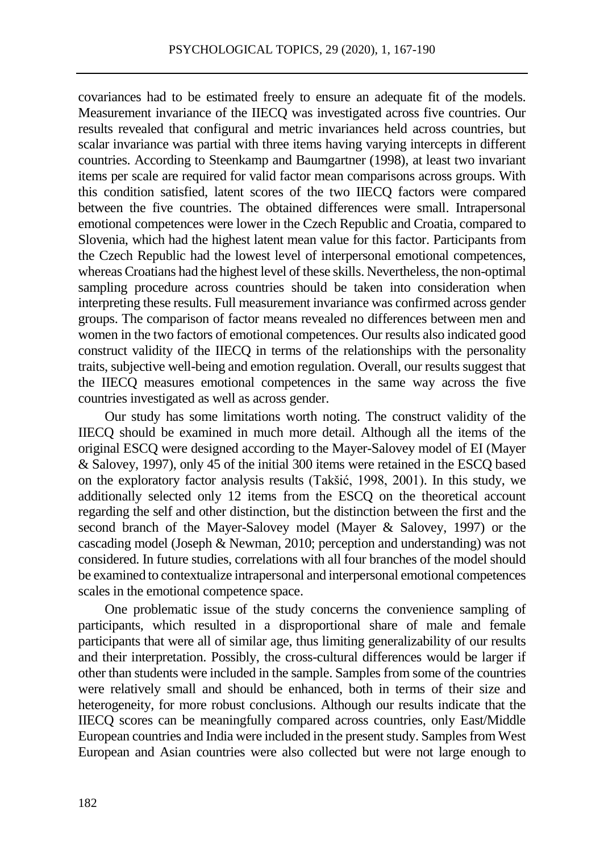covariances had to be estimated freely to ensure an adequate fit of the models. Measurement invariance of the IIECQ was investigated across five countries. Our results revealed that configural and metric invariances held across countries, but scalar invariance was partial with three items having varying intercepts in different countries. According to Steenkamp and Baumgartner (1998), at least two invariant items per scale are required for valid factor mean comparisons across groups. With this condition satisfied, latent scores of the two IIECQ factors were compared between the five countries. The obtained differences were small. Intrapersonal emotional competences were lower in the Czech Republic and Croatia, compared to Slovenia, which had the highest latent mean value for this factor. Participants from the Czech Republic had the lowest level of interpersonal emotional competences, whereas Croatians had the highest level of these skills. Nevertheless, the non-optimal sampling procedure across countries should be taken into consideration when interpreting these results. Full measurement invariance was confirmed across gender groups. The comparison of factor means revealed no differences between men and women in the two factors of emotional competences. Our results also indicated good construct validity of the IIECQ in terms of the relationships with the personality traits, subjective well-being and emotion regulation. Overall, our results suggest that the IIECQ measures emotional competences in the same way across the five countries investigated as well as across gender.

Our study has some limitations worth noting. The construct validity of the IIECQ should be examined in much more detail. Although all the items of the original ESCQ were designed according to the Mayer-Salovey model of EI (Mayer & Salovey, 1997), only 45 of the initial 300 items were retained in the ESCQ based on the exploratory factor analysis results (Takšić, 1998, 2001). In this study, we additionally selected only 12 items from the ESCQ on the theoretical account regarding the self and other distinction, but the distinction between the first and the second branch of the Mayer-Salovey model (Mayer & Salovey, 1997) or the cascading model (Joseph & Newman, 2010; perception and understanding) was not considered. In future studies, correlations with all four branches of the model should be examined to contextualize intrapersonal and interpersonal emotional competences scales in the emotional competence space.

One problematic issue of the study concerns the convenience sampling of participants, which resulted in a disproportional share of male and female participants that were all of similar age, thus limiting generalizability of our results and their interpretation. Possibly, the cross-cultural differences would be larger if other than students were included in the sample. Samples from some of the countries were relatively small and should be enhanced, both in terms of their size and heterogeneity, for more robust conclusions. Although our results indicate that the IIECQ scores can be meaningfully compared across countries, only East/Middle European countries and India were included in the present study. Samples from West European and Asian countries were also collected but were not large enough to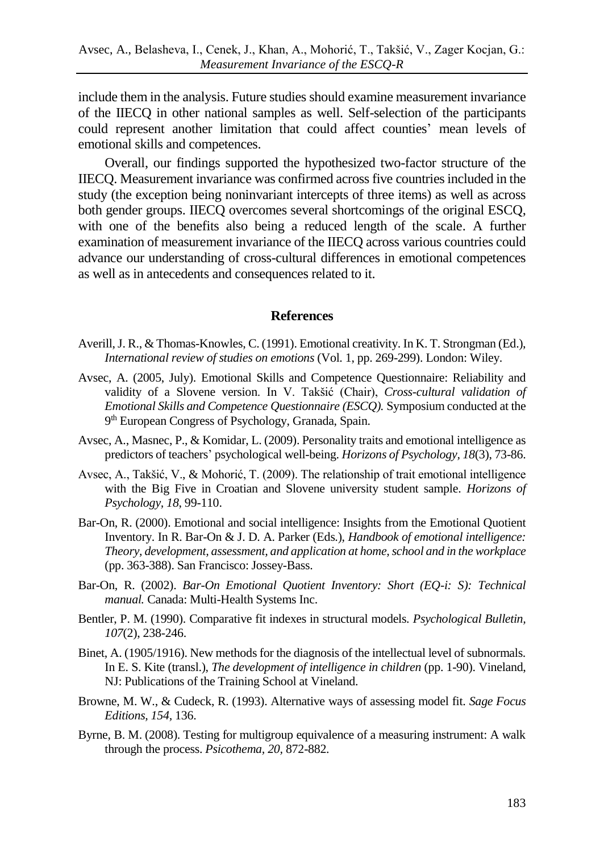include them in the analysis. Future studies should examine measurement invariance of the IIECQ in other national samples as well. Self-selection of the participants could represent another limitation that could affect counties' mean levels of emotional skills and competences.

Overall, our findings supported the hypothesized two-factor structure of the IIECQ. Measurement invariance was confirmed across five countries included in the study (the exception being noninvariant intercepts of three items) as well as across both gender groups. IIECQ overcomes several shortcomings of the original ESCQ, with one of the benefits also being a reduced length of the scale. A further examination of measurement invariance of the IIECQ across various countries could advance our understanding of cross-cultural differences in emotional competences as well as in antecedents and consequences related to it.

#### **References**

- Averill, J. R., & Thomas-Knowles, C. (1991). Emotional creativity. In K. T. Strongman (Ed.), *International review of studies on emotions* (Vol. 1, pp. 269-299). London: Wiley.
- Avsec, A. (2005, July). Emotional Skills and Competence Questionnaire: Reliability and validity of a Slovene version. In V. Takšić (Chair), *Cross-cultural validation of Emotional Skills and Competence Questionnaire (ESCQ).* Symposium conducted at the 9 th European Congress of Psychology, Granada, Spain.
- Avsec, A., Masnec, P., & Komidar, L. (2009). Personality traits and emotional intelligence as predictors of teachers' psychological well-being. *Horizons of Psychology, 18*(3), 73-86.
- Avsec, A., Takšić, V., & Mohorić, T. (2009). The relationship of trait emotional intelligence with the Big Five in Croatian and Slovene university student sample. *Horizons of Psychology, 18*, 99-110.
- Bar-On, R. (2000). Emotional and social intelligence: Insights from the Emotional Quotient Inventory. In R. Bar-On & J. D. A. Parker (Eds.), *Handbook of emotional intelligence: Theory, development, assessment, and application at home, school and in the workplace*  (pp. 363-388). San Francisco: Jossey-Bass.
- Bar-On, R. (2002). *Bar-On Emotional Quotient Inventory: Short (EQ-i: S): Technical manual.* Canada: Multi-Health Systems Inc.
- Bentler, P. M. (1990). Comparative fit indexes in structural models. *Psychological Bulletin, 107*(2), 238-246.
- Binet, A. (1905/1916). New methods for the diagnosis of the intellectual level of subnormals. In E. S. Kite (transl.), *The development of intelligence in children* (pp. 1-90). Vineland, NJ: Publications of the Training School at Vineland.
- Browne, M. W., & Cudeck, R. (1993). Alternative ways of assessing model fit. *Sage Focus Editions, 154,* 136.
- Byrne, B. M. (2008). Testing for multigroup equivalence of a measuring instrument: A walk through the process. *Psicothema, 20,* 872-882.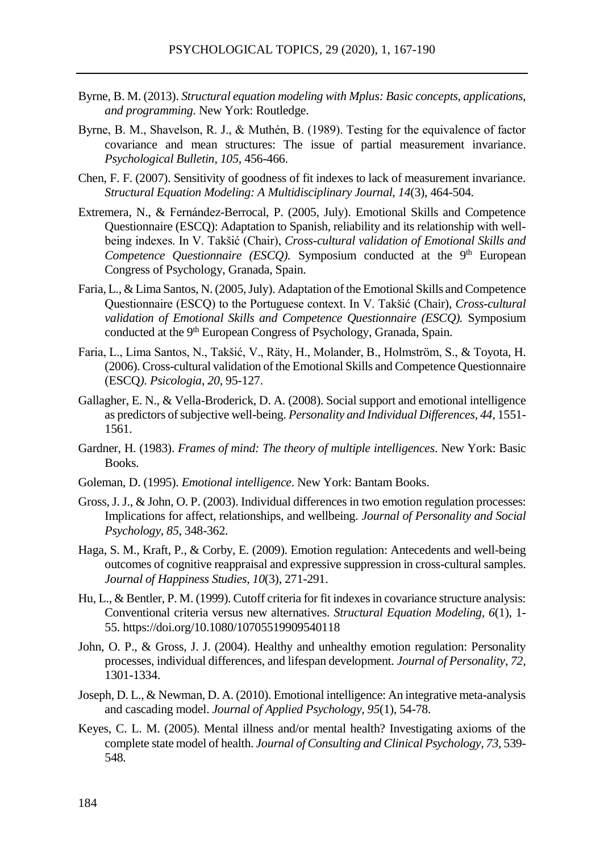- Byrne, B. M. (2013). *Structural equation modeling with Mplus: Basic concepts, applications, and programming*. New York: Routledge.
- Byrne, B. M., Shavelson, R. J., & Muthén, B. (1989). Testing for the equivalence of factor covariance and mean structures: The issue of partial measurement invariance. *Psychological Bulletin, 105,* 456-466.
- Chen, F. F. (2007). Sensitivity of goodness of fit indexes to lack of measurement invariance. *Structural Equation Modeling: A Multidisciplinary Journal, 14*(3), 464-504.
- Extremera, N., & Fernández-Berrocal, P. (2005, July). Emotional Skills and Competence Questionnaire (ESCQ): Adaptation to Spanish, reliability and its relationship with wellbeing indexes. In V. Takšić (Chair), *Cross-cultural validation of Emotional Skills and Competence Questionnaire (ESCQ).* Symposium conducted at the 9<sup>th</sup> European Congress of Psychology, Granada, Spain.
- Faria, L., & Lima Santos, N. (2005, July). Adaptation of the Emotional Skills and Competence Questionnaire (ESCQ) to the Portuguese context. In V. Takšić (Chair), *Cross-cultural validation of Emotional Skills and Competence Questionnaire (ESCQ).* Symposium conducted at the 9<sup>th</sup> European Congress of Psychology, Granada, Spain.
- Faria, L., Lima Santos, N., Takšić, V., Räty, H., Molander, B., Holmström, S., & Toyota, H. (2006). Cross-cultural validation of the Emotional Skills and Competence Questionnaire (ESCQ*)*. *Psicologia*, *20,* 95-127.
- Gallagher, E. N., & Vella-Broderick, D. A. (2008). Social support and emotional intelligence as predictors of subjective well-being. *Personality and Individual Differences, 44,* 1551- 1561.
- Gardner, H. (1983). *Frames of mind: The theory of multiple intelligences*. New York: Basic Books.
- Goleman, D. (1995). *Emotional intelligence*. New York: Bantam Books.
- Gross, J. J., & John, O. P. (2003). Individual differences in two emotion regulation processes: Implications for affect, relationships, and wellbeing. *Journal of Personality and Social Psychology, 85*, 348-362.
- Haga, S. M., Kraft, P., & Corby, E. (2009). Emotion regulation: Antecedents and well-being outcomes of cognitive reappraisal and expressive suppression in cross-cultural samples. *Journal of Happiness Studies, 10*(3), 271-291.
- Hu, L., & Bentler, P. M. (1999). Cutoff criteria for fit indexes in covariance structure analysis: Conventional criteria versus new alternatives. *Structural Equation Modeling, 6*(1), 1- 55. https://doi.org/10.1080/10705519909540118
- John, O. P., & Gross, J. J. (2004). Healthy and unhealthy emotion regulation: Personality processes, individual differences, and lifespan development. *Journal of Personality, 72,* 1301-1334.
- Joseph, D. L., & Newman, D. A. (2010). Emotional intelligence: An integrative meta-analysis and cascading model. *Journal of Applied Psychology, 95*(1), 54-78.
- Keyes, C. L. M. (2005). Mental illness and/or mental health? Investigating axioms of the complete state model of health. *Journal of Consulting and Clinical Psychology, 73,* 539- 548*.*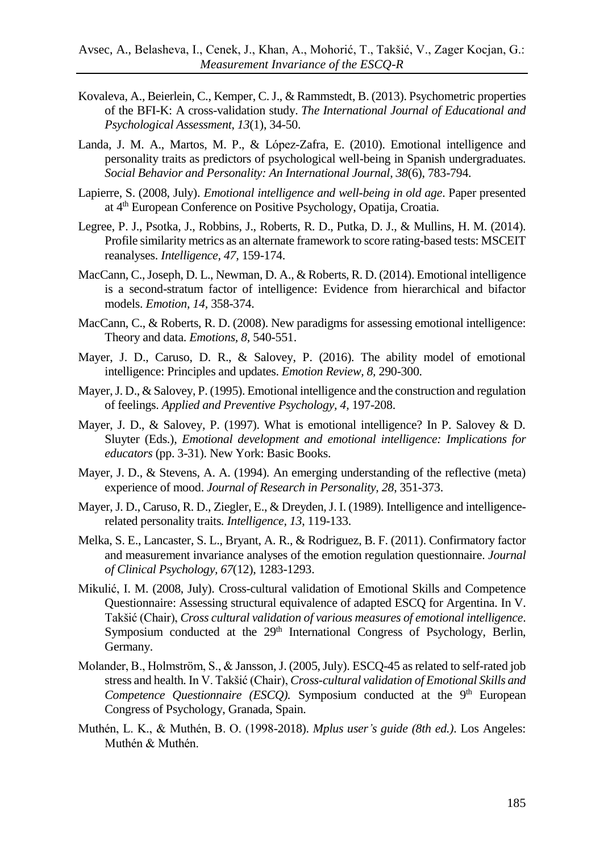- Kovaleva, A., Beierlein, C., Kemper, C. J., & Rammstedt, B. (2013). Psychometric properties of the BFI-K: A cross-validation study. *The International Journal of Educational and Psychological Assessment*, *13*(1), 34-50.
- Landa, J. M. A., Martos, M. P., & López-Zafra, E. (2010). Emotional intelligence and personality traits as predictors of psychological well-being in Spanish undergraduates. *Social Behavior and Personality: An International Journal, 38*(6), 783-794.
- Lapierre, S. (2008, July). *Emotional intelligence and well-being in old age*. Paper presented at 4 th European Conference on Positive Psychology, Opatija, Croatia.
- Legree, P. J., Psotka, J., Robbins, J., Roberts, R. D., Putka, D. J., & Mullins, H. M. (2014). Profile similarity metrics as an alternate framework to score rating-based tests: MSCEIT reanalyses. *Intelligence, 47,* 159-174.
- MacCann, C., Joseph, D. L., Newman, D. A., & Roberts, R. D. (2014). Emotional intelligence is a second-stratum factor of intelligence: Evidence from hierarchical and bifactor models. *Emotion, 14,* 358-374.
- MacCann, C., & Roberts, R. D. (2008). New paradigms for assessing emotional intelligence: Theory and data. *Emotions, 8,* 540-551.
- Mayer, J. D., Caruso, D. R., & Salovey, P. (2016). The ability model of emotional intelligence: Principles and updates. *Emotion Review, 8,* 290-300.
- Mayer, J. D., & Salovey, P. (1995). Emotional intelligence and the construction and regulation of feelings. *Applied and Preventive Psychology, 4,* 197-208.
- Mayer, J. D., & Salovey, P. (1997). What is emotional intelligence? In P. Salovey & D. Sluyter (Eds.), *Emotional development and emotional intelligence: Implications for educators* (pp. 3-31). New York: Basic Books.
- Mayer, J. D., & Stevens, A. A. (1994). An emerging understanding of the reflective (meta) experience of mood. *Journal of Research in Personality, 28*, 351-373.
- Mayer, J. D., Caruso, R. D., Ziegler, E., & Dreyden, J. I. (1989). Intelligence and intelligencerelated personality traits. *Intelligence, 13*, 119-133.
- Melka, S. E., Lancaster, S. L., Bryant, A. R., & Rodriguez, B. F. (2011). Confirmatory factor and measurement invariance analyses of the emotion regulation questionnaire. *Journal of Clinical Psychology, 67*(12), 1283-1293.
- Mikulić, I. M. (2008, July). Cross-cultural validation of Emotional Skills and Competence Questionnaire: Assessing structural equivalence of adapted ESCQ for Argentina. In V. Takšić (Chair), *Cross cultural validation of various measures of emotional intelligence*. Symposium conducted at the 29<sup>th</sup> International Congress of Psychology, Berlin, Germany.
- Molander, B., Holmström, S., & Jansson, J. (2005, July). ESCQ-45 as related to self-rated job stress and health*.* In V. Takšić (Chair), *Cross-cultural validation of Emotional Skills and Competence Questionnaire (ESCQ)*. Symposium conducted at the 9<sup>th</sup> European Congress of Psychology, Granada, Spain.
- Muthén, L. K., & Muthén, B. O. (1998-2018). *Mplus user's guide (8th ed.)*. Los Angeles: Muthén & Muthén.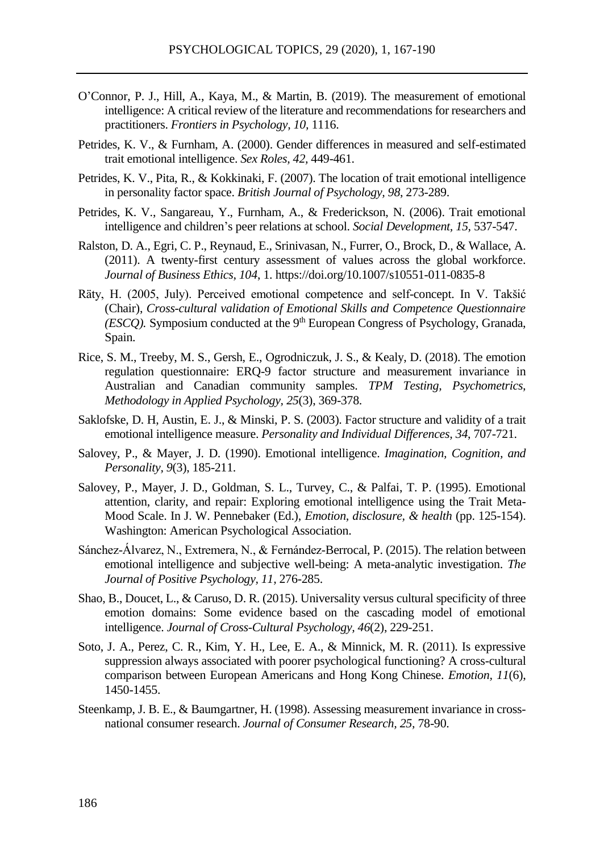- O'Connor, P. J., Hill, A., Kaya, M., & Martin, B. (2019). The measurement of emotional intelligence: A critical review of the literature and recommendations for researchers and practitioners. *Frontiers in Psychology, 10,* 1116.
- Petrides, K. V., & Furnham, A. (2000). Gender differences in measured and self-estimated trait emotional intelligence. *Sex Roles, 42,* 449-461.
- Petrides, K. V., Pita, R., & Kokkinaki, F. (2007). The location of trait emotional intelligence in personality factor space. *British Journal of Psychology, 98*, 273-289.
- Petrides, K. V., Sangareau, Y., Furnham, A., & Frederickson, N. (2006). Trait emotional intelligence and children's peer relations at school. *Social Development, 15,* 537-547.
- Ralston, D. A., Egri, C. P., Reynaud, E., Srinivasan, N., Furrer, O., Brock, D., & Wallace, A. (2011). A twenty-first century assessment of values across the global workforce. *Journal of Business Ethics, 104*, 1. https://doi.org/10.1007/s10551-011-0835-8
- Räty, H. (2005, July). Perceived emotional competence and self-concept. In V. Takšić (Chair), *Cross-cultural validation of Emotional Skills and Competence Questionnaire (ESCO).* Symposium conducted at the 9<sup>th</sup> European Congress of Psychology, Granada, Spain.
- Rice, S. M., Treeby, M. S., Gersh, E., Ogrodniczuk, J. S., & Kealy, D. (2018). The emotion regulation questionnaire: ERQ-9 factor structure and measurement invariance in Australian and Canadian community samples. *TPM Testing, Psychometrics, Methodology in Applied Psychology, 25*(3), 369-378.
- Saklofske, D. H, Austin, E. J., & Minski, P. S. (2003). Factor structure and validity of a trait emotional intelligence measure. *Personality and Individual Differences, 34*, 707-721.
- Salovey, P., & Mayer, J. D. (1990). Emotional intelligence. *Imagination, Cognition, and Personality, 9*(3), 185-211.
- Salovey, P., Mayer, J. D., Goldman, S. L., Turvey, C., & Palfai, T. P. (1995). Emotional attention, clarity, and repair: Exploring emotional intelligence using the Trait Meta-Mood Scale. In J. W. Pennebaker (Ed.), *Emotion, disclosure, & health* (pp. 125-154). Washington: American Psychological Association.
- Sánchez-Álvarez, N., Extremera, N., & Fernández-Berrocal, P. (2015). The relation between emotional intelligence and subjective well-being: A meta-analytic investigation. *The Journal of Positive Psychology, 11,* 276-285.
- Shao, B., Doucet, L., & Caruso, D. R. (2015). Universality versus cultural specificity of three emotion domains: Some evidence based on the cascading model of emotional intelligence. *Journal of Cross-Cultural Psychology, 46*(2), 229-251.
- Soto, J. A., Perez, C. R., Kim, Y. H., Lee, E. A., & Minnick, M. R. (2011). Is expressive suppression always associated with poorer psychological functioning? A cross-cultural comparison between European Americans and Hong Kong Chinese. *Emotion, 11*(6), 1450-1455.
- Steenkamp, J. B. E., & Baumgartner, H. (1998). Assessing measurement invariance in crossnational consumer research. *Journal of Consumer Research, 25,* 78-90.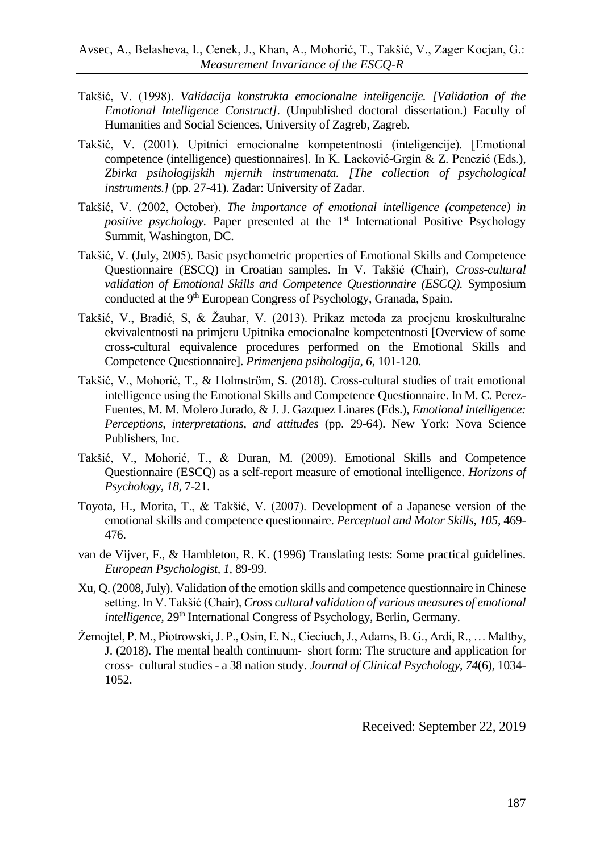- Takšić, V. (1998). *Validacija konstrukta emocionalne inteligencije. [Validation of the Emotional Intelligence Construct].* (Unpublished doctoral dissertation.) Faculty of Humanities and Social Sciences, University of Zagreb, Zagreb.
- Takšić, V. (2001). Upitnici emocionalne kompetentnosti (inteligencije). [Emotional competence (intelligence) questionnaires]. In K. Lacković-Grgin & Z. Penezić (Eds.)*, Zbirka psihologijskih mjernih instrumenata. [The collection of psychological instruments.]* (pp. 27-41). Zadar: University of Zadar.
- Takšić, V. (2002, October). *The importance of emotional intelligence (competence) in positive psychology.* Paper presented at the 1<sup>st</sup> International Positive Psychology Summit, Washington, DC.
- Takšić, V. (July, 2005). Basic psychometric properties of Emotional Skills and Competence Questionnaire (ESCQ) in Croatian samples. In V. Takšić (Chair), *Cross-cultural validation of Emotional Skills and Competence Questionnaire (ESCQ).* Symposium conducted at the 9th European Congress of Psychology, Granada, Spain.
- Takšić, V., Bradić, S, & Žauhar, V. (2013). Prikaz metoda za procjenu kroskulturalne ekvivalentnosti na primjeru Upitnika emocionalne kompetentnosti [Overview of some cross-cultural equivalence procedures performed on the Emotional Skills and Competence Questionnaire]. *Primenjena psihologija, 6*, 101-120.
- Takšić, V., Mohorić, T., & Holmström, S. (2018). Cross-cultural studies of trait emotional intelligence using the Emotional Skills and Competence Questionnaire. In M. C. Perez-Fuentes, M. M. Molero Jurado, & J. J. Gazquez Linares (Eds.), *Emotional intelligence: Perceptions, interpretations, and attitudes* (pp. 29-64). New York: Nova Science Publishers, Inc.
- Takšić, V., Mohorić, T., & Duran, M. (2009). Emotional Skills and Competence Questionnaire (ESCQ) as a self-report measure of emotional intelligence. *Horizons of Psychology, 18,* 7-21.
- Toyota, H., Morita, T., & Takšić, V. (2007). Development of a Japanese version of the emotional skills and competence questionnaire. *Perceptual and Motor Skills*, *105*, 469- 476.
- van de Vijver, F., & Hambleton, R. K. (1996) Translating tests: Some practical guidelines. *European Psychologist, 1,* 89-99.
- Xu, Q. (2008, July). Validation of the emotion skills and competence questionnaire in Chinese setting. In V. Takšić (Chair), *Cross cultural validation of various measures of emotional intelligence*, 29<sup>th</sup> International Congress of Psychology, Berlin, Germany.
- Żemojtel, P. M., Piotrowski, J. P., Osin, E. N., Cieciuch, J., Adams, B. G., Ardi, R., … Maltby, J. (2018). The mental health continuum‐ short form: The structure and application for cross‐ cultural studies - a 38 nation study. *Journal of Clinical Psychology*, *74*(6), 1034- 1052.

Received: September 22, 2019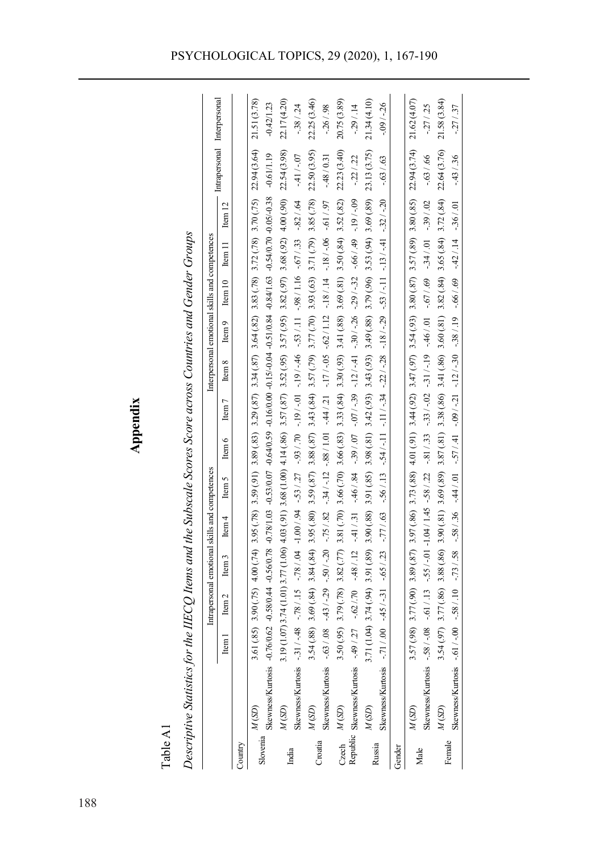| I                                                                          |
|----------------------------------------------------------------------------|
|                                                                            |
|                                                                            |
|                                                                            |
|                                                                            |
|                                                                            |
|                                                                            |
|                                                                            |
|                                                                            |
|                                                                            |
|                                                                            |
|                                                                            |
|                                                                            |
|                                                                            |
|                                                                            |
|                                                                            |
|                                                                            |
| י<br>י<br>j<br>١                                                           |
|                                                                            |
|                                                                            |
|                                                                            |
|                                                                            |
|                                                                            |
| ĭ                                                                          |
|                                                                            |
|                                                                            |
|                                                                            |
|                                                                            |
|                                                                            |
|                                                                            |
|                                                                            |
|                                                                            |
|                                                                            |
|                                                                            |
|                                                                            |
|                                                                            |
|                                                                            |
|                                                                            |
|                                                                            |
|                                                                            |
|                                                                            |
|                                                                            |
|                                                                            |
|                                                                            |
|                                                                            |
|                                                                            |
|                                                                            |
|                                                                            |
|                                                                            |
|                                                                            |
| ֖֖֖֖֖ׅ֖֧֖֖֖֧ׅ֪ׅ֖֖֖֧֪֪ׅ֪֪ׅ֖֧֚֚֚֚֚֚֚֚֚֚֚֚֚֚֚֚֚֚֚֚֚֚֚֚֚֚֚֚֚֚֚֚֚֚֚֚֚֚֡֝֓֞֝֝֞֝֬ |
| ,<br>,<br>,<br>,<br>,                                                      |
|                                                                            |
|                                                                            |
|                                                                            |
|                                                                            |
|                                                                            |
|                                                                            |
|                                                                            |
|                                                                            |
|                                                                            |
|                                                                            |
|                                                                            |
|                                                                            |
|                                                                            |
|                                                                            |
| ו<br>ו                                                                     |
| j<br>$\overline{ }$<br>ĺ<br>ļ                                              |

|          |                                                                                                                                                                                                                                            |                                                                                                                                                                               |                   |                                                                                                                                                                                                                                                     |                  |          |        | Appendix          |          |        |                                                      |                                                |            |                |                               |
|----------|--------------------------------------------------------------------------------------------------------------------------------------------------------------------------------------------------------------------------------------------|-------------------------------------------------------------------------------------------------------------------------------------------------------------------------------|-------------------|-----------------------------------------------------------------------------------------------------------------------------------------------------------------------------------------------------------------------------------------------------|------------------|----------|--------|-------------------|----------|--------|------------------------------------------------------|------------------------------------------------|------------|----------------|-------------------------------|
| Table A1 |                                                                                                                                                                                                                                            |                                                                                                                                                                               |                   |                                                                                                                                                                                                                                                     |                  |          |        |                   |          |        |                                                      |                                                |            |                |                               |
|          | Descriptive Statistics for                                                                                                                                                                                                                 |                                                                                                                                                                               |                   | the IIECQ Items and the Subscale Scores Score across Countries and Gender Groups                                                                                                                                                                    |                  |          |        |                   |          |        |                                                      |                                                |            |                |                               |
|          |                                                                                                                                                                                                                                            |                                                                                                                                                                               |                   | Intrapersonal emotional skills and competences                                                                                                                                                                                                      |                  |          |        |                   |          |        |                                                      | Interpersonal emotional skills and competences |            |                |                               |
|          |                                                                                                                                                                                                                                            | $\begin{tabular}{ c c } \hline \quad \quad & \quad \quad & \quad \quad & \quad \quad \\ \hline \quad \quad & \quad \quad & \quad \quad & \quad \quad \\ \hline \end{tabular}$ | Item <sub>2</sub> | Item <sub>3</sub>                                                                                                                                                                                                                                   | Icm <sub>4</sub> | Item 5   | Item 6 | Item <sub>7</sub> | Item $8$ | Item 9 | Item 10                                              | Item 11                                        | Item 12    |                | - Intrapersonal Interpersonal |
| Country  |                                                                                                                                                                                                                                            |                                                                                                                                                                               |                   |                                                                                                                                                                                                                                                     |                  |          |        |                   |          |        |                                                      |                                                |            |                |                               |
|          | $M\left( \text{SD}\right)$ Slovenia                                                                                                                                                                                                        |                                                                                                                                                                               |                   | $3.61(85)$ $3.90(75)$ $4.00(74)$ $3.95(78)$ $3.59(91)$ $3.89(83)$ $3.29(87)$ $3.34(87)$ $3.64(82)$ $3.83(78)$ $3.72(78)$ $3.70(75)$                                                                                                                 |                  |          |        |                   |          |        |                                                      |                                                |            | 22.94 (3.64)   | 21.51 (3.78)                  |
|          | Skewness/Kurtosis -0.7                                                                                                                                                                                                                     |                                                                                                                                                                               |                   | $-0.780.044 - 0.580.78 - 0.580.78 - 0.780103 - 0.5900 - 0.6400.07 - 0.6400.07 - 0.5900 - 0.5900 - 0.5800.04 - 0.5800.04 - 0.5800.03 - 0.5900.04 - 0.5900.03 - 0.5900.04 - 0.5900.03 - 0.5900.04 - 0.5900.04 - 0.5900.04 - 0.5900.05 - 0.5900.04 - $ |                  |          |        |                   |          |        |                                                      |                                                |            | $-0.61/1.19$   | $-0.42/1.23$                  |
|          | helia M(SD)<br>Baby 19.19(1.07)3.74(1.01)3.77(1.06)4.03(9)3.68(1.00)4.14(88)3.57(57)3.52(95)3.57(95)3.82(97)3.68(92)400(90)<br>Baby 1.58 (97)17.8 (30)19.74(8)3.98 (54)3.54 (56)3.58 (57)3.77 -931/20<br>Croatia M(SD)<br>Croatia Skewness |                                                                                                                                                                               |                   | 3.19(1.07) 3.74(1.01) 3.77(1.06) 4.03(91) 3.68(1.00) 4.14(86) 3.57(87) 3.52(95) 3.57(95) 3.82(97) 3.68(92) 4.00(90)                                                                                                                                 |                  |          |        |                   |          |        |                                                      |                                                |            | 22.54 (3.98)   | 22.17 (4.20)                  |
|          |                                                                                                                                                                                                                                            |                                                                                                                                                                               |                   |                                                                                                                                                                                                                                                     |                  |          |        |                   |          |        |                                                      |                                                |            | $-41/ -07$     | $-38/0.24$                    |
|          |                                                                                                                                                                                                                                            |                                                                                                                                                                               |                   |                                                                                                                                                                                                                                                     |                  |          |        |                   |          |        |                                                      |                                                |            | 22.50 (3.95)   | 22.25 (3.46)                  |
|          |                                                                                                                                                                                                                                            |                                                                                                                                                                               |                   |                                                                                                                                                                                                                                                     |                  |          |        |                   |          |        |                                                      |                                                |            | $-48/0.31$     | $-26/98$                      |
|          |                                                                                                                                                                                                                                            |                                                                                                                                                                               |                   |                                                                                                                                                                                                                                                     |                  |          |        |                   |          |        |                                                      |                                                |            | 22.23 (3.40)   | 20.75 (3.89)                  |
|          | 09. (91.- 92. / 25. / 25. / 26. 14. / 21. - 29. / 20. / 29. / 49. / 49. / 24. / 24. / 24. / 26. / 29. - 27. / 25. / 29. / 29. / 29. / 29. / 29. / 29. / 29. / 29. / 29. / 29. / 29. / 29. / 20. / 29. / 29. / 29. / 29. / 29.              |                                                                                                                                                                               |                   |                                                                                                                                                                                                                                                     |                  |          |        |                   |          |        |                                                      |                                                |            | $-22/22$       | $-29/14$                      |
| Russia   | $M\left( \text{SD}\right)$                                                                                                                                                                                                                 | 3.71                                                                                                                                                                          |                   | $(69)$ $(76)$ $(76)$ $(96)$ $(88)$ $(87)$ $(16)$ $(16)$ $(16)$ $(16)$ $(16)$ $(16)$ $(16)$ $(16)$ $(16)$ $(16)$ $(16)$ $(16)$ $(16)$ $(16)$ $(16)$ $(16)$ $(16)$ $(16)$ $(16)$ $(16)$ $(16)$ $(16)$ $(16)$ $(16)$ $(16)$ $(16$                      |                  |          |        |                   |          |        |                                                      |                                                |            | 23.13 (3.75)   | 21.34 (4.10)                  |
|          | Skewness/Kurtosis -.71 / .00                                                                                                                                                                                                               |                                                                                                                                                                               | $-45/ -31$        | $-0.65 / 23$                                                                                                                                                                                                                                        | $-77/63$         | $-56/13$ |        |                   |          |        | $-54/11 - 11/134 - 22/128 - 18/129 - 53/11 - 13/141$ |                                                | $-32/ -20$ | $-0.63 / 0.63$ | $-0.09$ / $-26$               |
| Gender   |                                                                                                                                                                                                                                            |                                                                                                                                                                               |                   |                                                                                                                                                                                                                                                     |                  |          |        |                   |          |        |                                                      |                                                |            |                |                               |
|          | $M\left( \text{SD} \right)$                                                                                                                                                                                                                |                                                                                                                                                                               |                   | $3.57(.98)$ $3.77(.90)$ $3.89(.87)$ $3.97(.86)$ $3.73(.86)$ $4.4(.91)$ $3.44(.97)$ $3.54(.97)$ $3.54(.93)$ $3.80(.87)$ $3.80(.85)$                                                                                                                  |                  |          |        |                   |          |        |                                                      |                                                |            | 22.94 (3.74)   | 21.62 (4.07)                  |
| Male     | Skewness/Kurtosis -- 58/-08 -- 58/-08 -- 58/-10 -- 161/-19 -- 58/-22 -- 58/-22 -- 58/-19 -- 59/-02 -- 19 -- 46/-01 -- 69/-00 -- 19 -- 59/-00                                                                                               |                                                                                                                                                                               |                   |                                                                                                                                                                                                                                                     |                  |          |        |                   |          |        |                                                      |                                                |            | $-0.63 / 0.66$ | $-27/25$                      |
| Female   | $M\left( \text{SD}\right)$                                                                                                                                                                                                                 |                                                                                                                                                                               |                   | $3.5(4(0)7)$ $3.77(86)$ $3.88(86)$ $3.98(88)$ $3.98(89)(81)$ $3.38(86)$ $3.41(86)$ $3.61(81)$ $3.82(84)$ $3.65(84)$ $3.72(84)$                                                                                                                      |                  |          |        |                   |          |        |                                                      |                                                |            | 22.64 (3.76)   | 21.58 (3.84)                  |
|          | Skewness/Kurtosis -.61/-.00                                                                                                                                                                                                                |                                                                                                                                                                               |                   | -28/ -27 (98 - 28/ -28 - 28/ -28 - 29 - 201 - 201 - 201 - 201 - 201 - 201 - 201 - 201 - 201 - 201 - 201 - 201 - 201 - 201 - 201 - 201 - 201 - 201 - 201 - 201 - 201 - 201 - 201 - 201 - 201 - 201 - 201 - 201 - 201 - 201 - 20                      |                  |          |        |                   |          |        |                                                      |                                                | $-36/01$   | $-43/36$       | $-27/37$                      |
|          |                                                                                                                                                                                                                                            |                                                                                                                                                                               |                   |                                                                                                                                                                                                                                                     |                  |          |        |                   |          |        |                                                      |                                                |            |                |                               |
|          |                                                                                                                                                                                                                                            |                                                                                                                                                                               |                   |                                                                                                                                                                                                                                                     |                  |          |        |                   |          |        |                                                      |                                                |            |                |                               |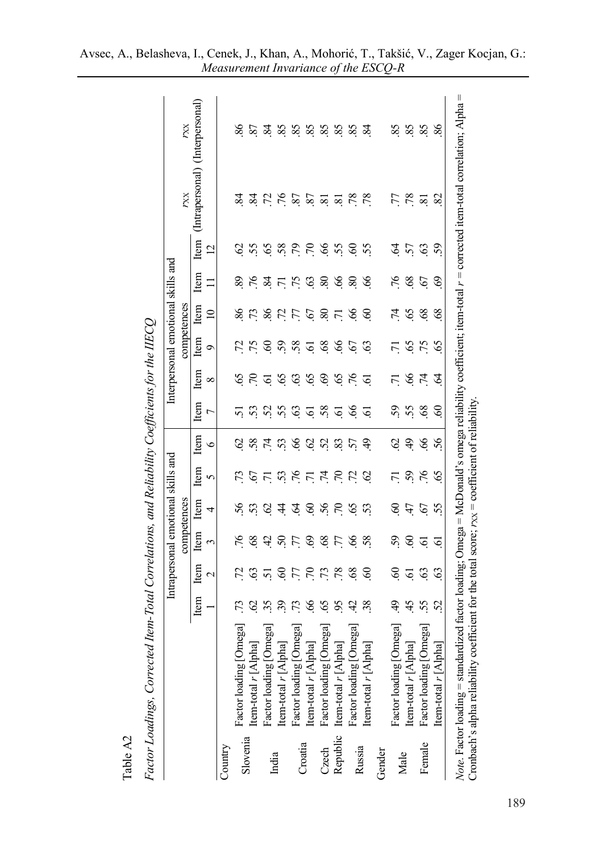|          |                               |                       |                 | Intrapersonal emotional skills and<br>competences |                 |                 |               |               |                       | Interpersonal emotional skills and<br>competences |                |                     |                 | YXX                             | <b>YXX</b>      |
|----------|-------------------------------|-----------------------|-----------------|---------------------------------------------------|-----------------|-----------------|---------------|---------------|-----------------------|---------------------------------------------------|----------------|---------------------|-----------------|---------------------------------|-----------------|
|          |                               | Item                  | Item            | Item                                              | Item            | Item            | Item          | Item          | Item                  | Item                                              | Item           | Item                | Item            | (Intrapersonal) (Interpersonal) |                 |
|          |                               |                       | $\mathbf{\sim}$ | ξ                                                 | 4               | 5               | $\circ$       | 7             | ${}^{\circ}$          | ᡋ                                                 | $\Xi$          |                     | $\overline{c}$  |                                 |                 |
| Country  |                               |                       |                 |                                                   |                 |                 |               |               |                       |                                                   |                |                     |                 |                                 |                 |
| Slovenia | Factor loading [Omega]        | Ľ.                    | Ľ.              | 94                                                | 56              |                 | 2             | 5             | 65                    |                                                   | 86             | 89                  | S               | $\frac{84}{3}$                  | 86              |
|          | Item-total r [Alpha           | $\mathcal{O}$         | 63              | $\frac{8}{3}$                                     | 53              | 67              | 58            | 53            | $\tilde{\mathcal{L}}$ | 75                                                | 73             | 76                  | 55              | 84                              | 87              |
| India    | Factor loading [Omega]        | 35                    | $\overline{5}$  | 42                                                | 62              |                 | $\mathcal{L}$ |               | ত্ৰ                   | $\mathcal{C}$                                     |                | $\ddot{\mathrm{s}}$ | $6\overline{3}$ | $\mathcal{L}$                   | $\frac{84}{3}$  |
|          | Item-total r [Alpha           | 39                    | $\mathcal{S}$   | $50^{\circ}$                                      | \$              | 7.58            | 53            | 25            | 65                    | 59                                                | 8 R F          | $\overline{5}$      |                 | $\overline{76}$                 | 85              |
| Croatia  | Factor loading [Omega]        | $\mathcal{L}$         | FT.             | L)                                                | $\mathcal{L}$   |                 | $\mathcal{S}$ | $\mathcal{C}$ | 63                    | 58                                                |                | .75                 | $\mathcal{L}$   | 87                              | 85              |
|          | Item-total r [Alpha]          | $\mathscr{C}$         | $\overline{C}$  | $\mathcal{S}$                                     | $60\,$          | $5\frac{1}{4}$  | $\mathcal{O}$ | G.            | 65                    | $\tilde{e}$                                       | 67             | 63                  | $\overline{C}$  | $\overline{s}$                  | 85              |
| Czech    | Factor loading [Omega]        | SS.                   | $\mathcal{L}$   | 68                                                | 56              |                 | 52            | 58            | $\mathcal{S}$         | 68                                                | 80             | $\infty$            | 66              | $\overline{8}$                  | 85              |
|          | Republic Item-total r [Alpha] | 95                    | 78              | Ľ                                                 | $\overline{70}$ | $\overline{C}$  | 83            | ତି            | 65                    | $\mathcal{S}$                                     | $\overline{5}$ | 66                  | 55              | $\overline{8}$                  | 85              |
|          | Factor loading [Omega]        | 42                    | 68              | 8                                                 | 65              | $\ddot{z}$      | 57            | SS.           | 76                    | 67                                                | 66             | $\infty$            | $\mathcal{S}$   | .78                             | 85              |
| Russia   | Item-total r [Alpha]          | 38                    | $\mathcal{S}$   | 58                                                | 53              | $\mathcal{O}$   | $\frac{1}{2}$ | ତ             | ত                     | $\mathcal{C}$                                     | $\mathcal{S}$  | 66                  | 55              | 78                              | $\overline{84}$ |
| Gender   |                               |                       |                 |                                                   |                 |                 |               |               |                       |                                                   |                |                     |                 |                                 |                 |
| Male     | Factor loading [Omega]        | ₽.                    | ଌ               | 59                                                | ଌ଼              | 17              | $\mathcal{S}$ | 59            | 17                    | $\overline{r}$                                    | 74             | 76                  | Ş               | 77                              | 85              |
|          | Item-total r [Alpha]          | 45                    | $\tilde{Q}$     | $\mathcal{S}$                                     | 47              | 59              | $\ddot{ }$    | 55            | $\mathcal{S}$         | 65                                                | 65             | 89                  | 57              | .78                             | 85              |
| Female   | Factor loading [Omega]        | 55                    | $\mathcal{C}$   | ত্                                                | 67              | $\overline{76}$ | $\mathcal{S}$ | 68            | $\ddot{z}$            | .75                                               | 68             | 67                  | $\mathcal{C}$   | $\overline{8}$                  | 85              |
|          | Item-total r [Alpha           | $\tilde{\mathcal{S}}$ | $\mathcal{C}$   | ত্                                                | 55              | 65              | 56            | $\mathcal{S}$ | 2                     | 65                                                | 68             | $\mathcal{S}$       | 59              | 82                              | 86              |

Avsec, A., Belasheva, I., Cenek, J., Khan, A., Mohorić, T., Takšić, V., Zager Kocjan, G.: *Measurement Invariance of the ESCQ-R* 

187 189

Table A2 Table A2